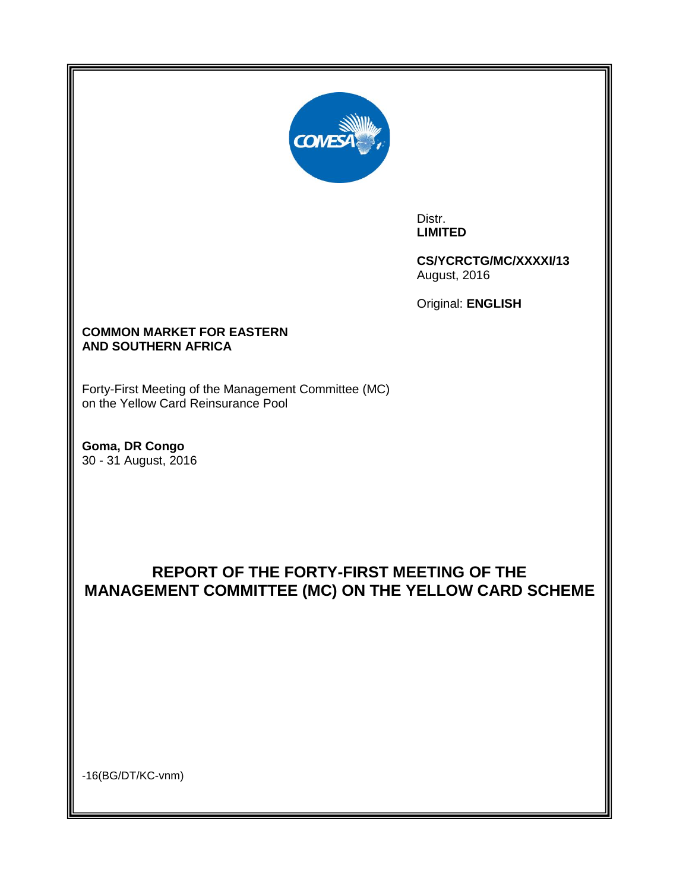

Distr. **LIMITED**

**CS/YCRCTG/MC/XXXXI/13** August, 2016

Original: **ENGLISH**

# **COMMON MARKET FOR EASTERN AND SOUTHERN AFRICA**

Forty-First Meeting of the Management Committee (MC) on the Yellow Card Reinsurance Pool

**Goma, DR Congo**  30 - 31 August, 2016

# **REPORT OF THE FORTY-FIRST MEETING OF THE MANAGEMENT COMMITTEE (MC) ON THE YELLOW CARD SCHEME**

-16(BG/DT/KC-vnm)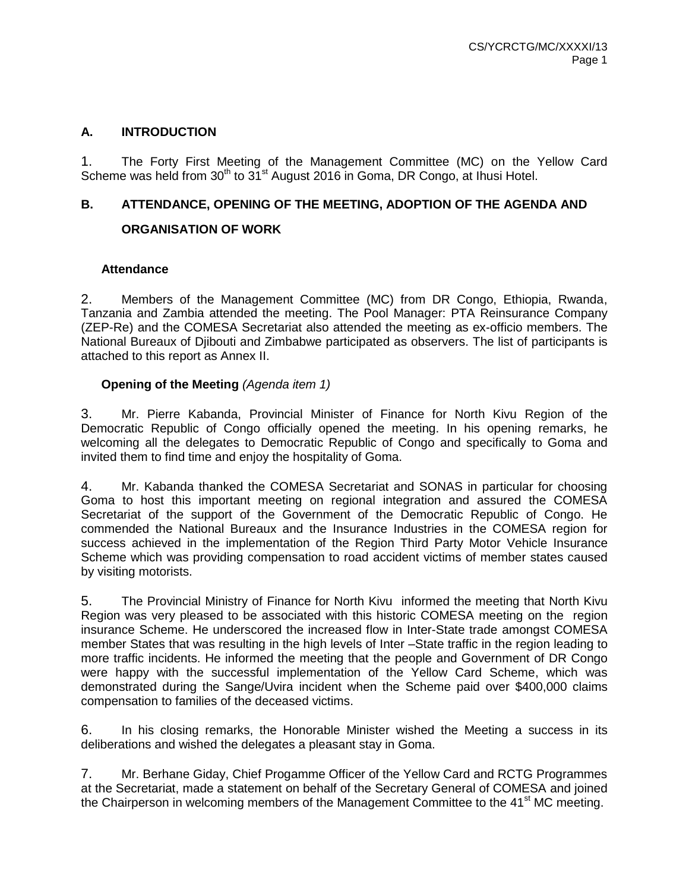# **A. INTRODUCTION**

1. The Forty First Meeting of the Management Committee (MC) on the Yellow Card Scheme was held from  $30<sup>th</sup>$  to  $31<sup>st</sup>$  August 2016 in Goma, DR Congo, at Ihusi Hotel.

# **B. ATTENDANCE, OPENING OF THE MEETING, ADOPTION OF THE AGENDA AND**

# **ORGANISATION OF WORK**

# **Attendance**

2. Members of the Management Committee (MC) from DR Congo, Ethiopia, Rwanda, Tanzania and Zambia attended the meeting. The Pool Manager: PTA Reinsurance Company (ZEP-Re) and the COMESA Secretariat also attended the meeting as ex-officio members. The National Bureaux of Djibouti and Zimbabwe participated as observers. The list of participants is attached to this report as Annex II.

# **Opening of the Meeting** *(Agenda item 1)*

3. Mr. Pierre Kabanda, Provincial Minister of Finance for North Kivu Region of the Democratic Republic of Congo officially opened the meeting. In his opening remarks, he welcoming all the delegates to Democratic Republic of Congo and specifically to Goma and invited them to find time and enjoy the hospitality of Goma.

4. Mr. Kabanda thanked the COMESA Secretariat and SONAS in particular for choosing Goma to host this important meeting on regional integration and assured the COMESA Secretariat of the support of the Government of the Democratic Republic of Congo. He commended the National Bureaux and the Insurance Industries in the COMESA region for success achieved in the implementation of the Region Third Party Motor Vehicle Insurance Scheme which was providing compensation to road accident victims of member states caused by visiting motorists.

5. The Provincial Ministry of Finance for North Kivu informed the meeting that North Kivu Region was very pleased to be associated with this historic COMESA meeting on the region insurance Scheme. He underscored the increased flow in Inter-State trade amongst COMESA member States that was resulting in the high levels of Inter –State traffic in the region leading to more traffic incidents. He informed the meeting that the people and Government of DR Congo were happy with the successful implementation of the Yellow Card Scheme, which was demonstrated during the Sange/Uvira incident when the Scheme paid over \$400,000 claims compensation to families of the deceased victims.

6. In his closing remarks, the Honorable Minister wished the Meeting a success in its deliberations and wished the delegates a pleasant stay in Goma.

7. Mr. Berhane Giday, Chief Progamme Officer of the Yellow Card and RCTG Programmes at the Secretariat, made a statement on behalf of the Secretary General of COMESA and joined the Chairperson in welcoming members of the Management Committee to the  $41<sup>st</sup>$  MC meeting.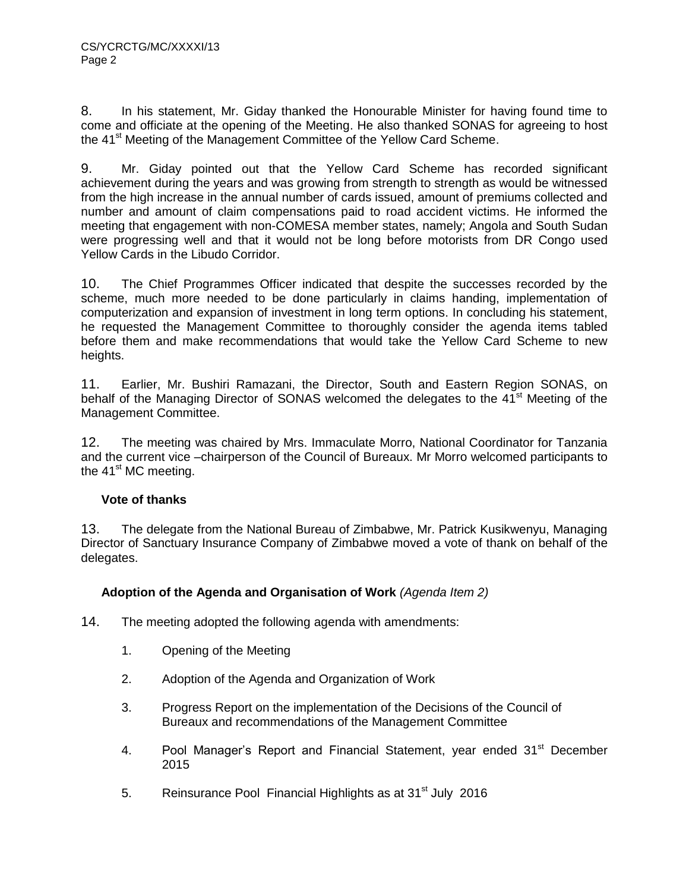8. In his statement, Mr. Giday thanked the Honourable Minister for having found time to come and officiate at the opening of the Meeting. He also thanked SONAS for agreeing to host the 41<sup>st</sup> Meeting of the Management Committee of the Yellow Card Scheme.

9. Mr. Giday pointed out that the Yellow Card Scheme has recorded significant achievement during the years and was growing from strength to strength as would be witnessed from the high increase in the annual number of cards issued, amount of premiums collected and number and amount of claim compensations paid to road accident victims. He informed the meeting that engagement with non-COMESA member states, namely; Angola and South Sudan were progressing well and that it would not be long before motorists from DR Congo used Yellow Cards in the Libudo Corridor.

10. The Chief Programmes Officer indicated that despite the successes recorded by the scheme, much more needed to be done particularly in claims handing, implementation of computerization and expansion of investment in long term options. In concluding his statement, he requested the Management Committee to thoroughly consider the agenda items tabled before them and make recommendations that would take the Yellow Card Scheme to new heights.

11. Earlier, Mr. Bushiri Ramazani, the Director, South and Eastern Region SONAS, on behalf of the Managing Director of SONAS welcomed the delegates to the 41<sup>st</sup> Meeting of the Management Committee.

12. The meeting was chaired by Mrs. Immaculate Morro, National Coordinator for Tanzania and the current vice –chairperson of the Council of Bureaux. Mr Morro welcomed participants to the  $41<sup>st</sup>$  MC meeting.

# **Vote of thanks**

13. The delegate from the National Bureau of Zimbabwe, Mr. Patrick Kusikwenyu, Managing Director of Sanctuary Insurance Company of Zimbabwe moved a vote of thank on behalf of the delegates.

# **Adoption of the Agenda and Organisation of Work** *(Agenda Item 2)*

- 14. The meeting adopted the following agenda with amendments:
	- 1. Opening of the Meeting
	- 2. Adoption of the Agenda and Organization of Work
	- 3. Progress Report on the implementation of the Decisions of the Council of Bureaux and recommendations of the Management Committee
	- 4. Pool Manager's Report and Financial Statement, year ended 31<sup>st</sup> December 2015
	- 5. Reinsurance Pool Financial Highlights as at 31<sup>st</sup> July 2016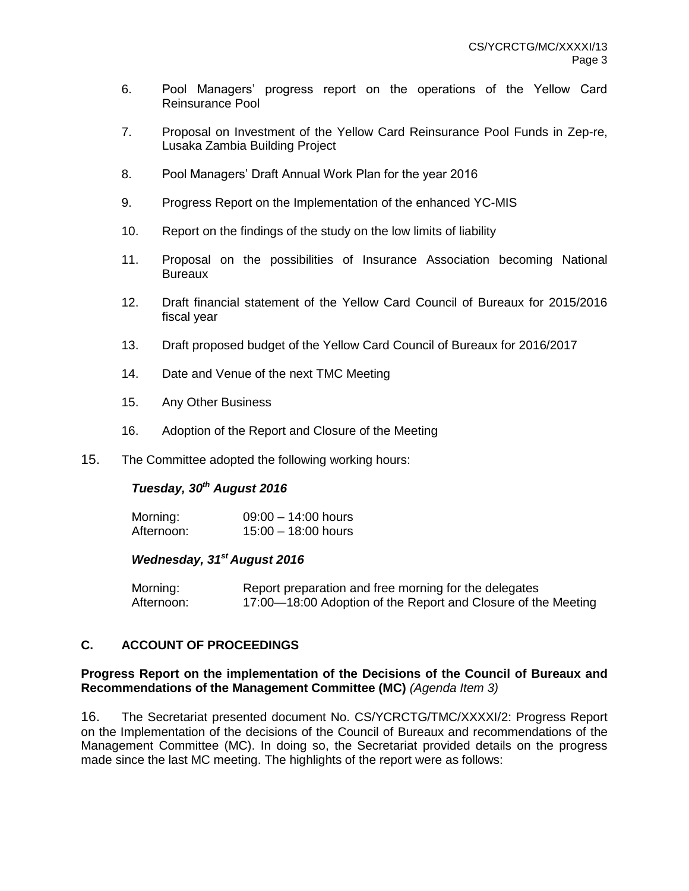- 6. Pool Managers' progress report on the operations of the Yellow Card Reinsurance Pool
- 7. Proposal on Investment of the Yellow Card Reinsurance Pool Funds in Zep-re, Lusaka Zambia Building Project
- 8. Pool Managers' Draft Annual Work Plan for the year 2016
- 9. Progress Report on the Implementation of the enhanced YC-MIS
- 10. Report on the findings of the study on the low limits of liability
- 11. Proposal on the possibilities of Insurance Association becoming National **Bureaux**
- 12. Draft financial statement of the Yellow Card Council of Bureaux for 2015/2016 fiscal year
- 13. Draft proposed budget of the Yellow Card Council of Bureaux for 2016/2017
- 14. Date and Venue of the next TMC Meeting
- 15. Any Other Business
- 16. Adoption of the Report and Closure of the Meeting
- 15. The Committee adopted the following working hours:

#### *Tuesday, 30th August 2016*

| Morning:   | $09:00 - 14:00$ hours |
|------------|-----------------------|
| Afternoon: | $15:00 - 18:00$ hours |

### *Wednesday, 31st August 2016*

| Morning:   | Report preparation and free morning for the delegates         |
|------------|---------------------------------------------------------------|
| Afternoon: | 17:00—18:00 Adoption of the Report and Closure of the Meeting |

# **C. ACCOUNT OF PROCEEDINGS**

### **Progress Report on the implementation of the Decisions of the Council of Bureaux and Recommendations of the Management Committee (MC)** *(Agenda Item 3)*

16. The Secretariat presented document No. CS/YCRCTG/TMC/XXXXI/2: Progress Report on the Implementation of the decisions of the Council of Bureaux and recommendations of the Management Committee (MC). In doing so, the Secretariat provided details on the progress made since the last MC meeting. The highlights of the report were as follows: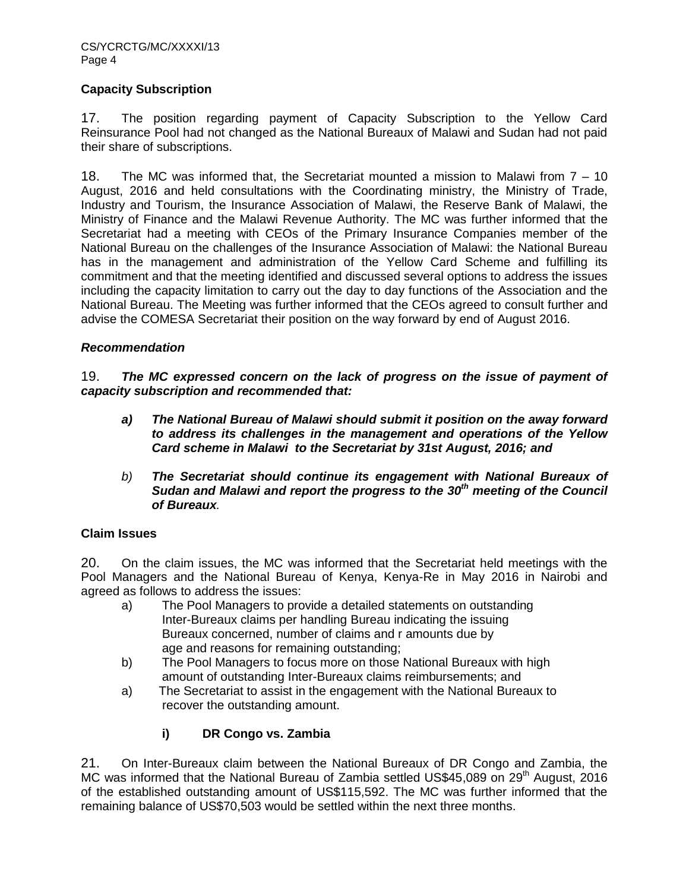# **Capacity Subscription**

17. The position regarding payment of Capacity Subscription to the Yellow Card Reinsurance Pool had not changed as the National Bureaux of Malawi and Sudan had not paid their share of subscriptions.

18. The MC was informed that, the Secretariat mounted a mission to Malawi from 7 – 10 August, 2016 and held consultations with the Coordinating ministry, the Ministry of Trade, Industry and Tourism, the Insurance Association of Malawi, the Reserve Bank of Malawi, the Ministry of Finance and the Malawi Revenue Authority. The MC was further informed that the Secretariat had a meeting with CEOs of the Primary Insurance Companies member of the National Bureau on the challenges of the Insurance Association of Malawi: the National Bureau has in the management and administration of the Yellow Card Scheme and fulfilling its commitment and that the meeting identified and discussed several options to address the issues including the capacity limitation to carry out the day to day functions of the Association and the National Bureau. The Meeting was further informed that the CEOs agreed to consult further and advise the COMESA Secretariat their position on the way forward by end of August 2016.

### *Recommendation*

19. *The MC expressed concern on the lack of progress on the issue of payment of capacity subscription and recommended that:*

- *a) The National Bureau of Malawi should submit it position on the away forward to address its challenges in the management and operations of the Yellow Card scheme in Malawi to the Secretariat by 31st August, 2016; and*
- *b) The Secretariat should continue its engagement with National Bureaux of Sudan and Malawi and report the progress to the 30th meeting of the Council of Bureaux.*

# **Claim Issues**

20. On the claim issues, the MC was informed that the Secretariat held meetings with the Pool Managers and the National Bureau of Kenya, Kenya-Re in May 2016 in Nairobi and agreed as follows to address the issues:

- a) The Pool Managers to provide a detailed statements on outstanding Inter-Bureaux claims per handling Bureau indicating the issuing Bureaux concerned, number of claims and r amounts due by age and reasons for remaining outstanding;
- b) The Pool Managers to focus more on those National Bureaux with high amount of outstanding Inter-Bureaux claims reimbursements; and
- a) The Secretariat to assist in the engagement with the National Bureaux to recover the outstanding amount.

# **i) DR Congo vs. Zambia**

21. On Inter-Bureaux claim between the National Bureaux of DR Congo and Zambia, the MC was informed that the National Bureau of Zambia settled US\$45,089 on 29<sup>th</sup> August, 2016 of the established outstanding amount of US\$115,592. The MC was further informed that the remaining balance of US\$70,503 would be settled within the next three months.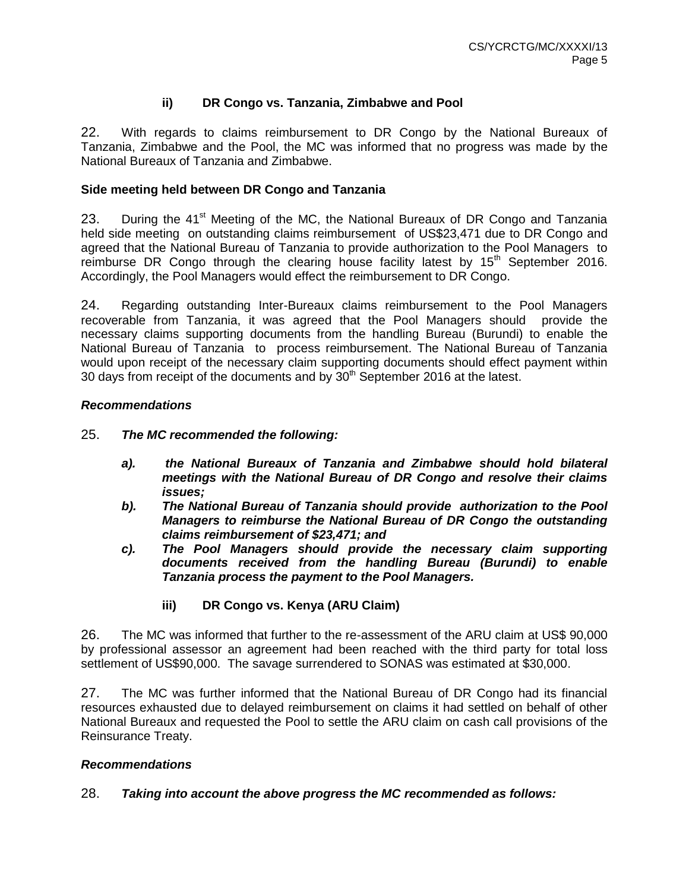# **ii) DR Congo vs. Tanzania, Zimbabwe and Pool**

22. With regards to claims reimbursement to DR Congo by the National Bureaux of Tanzania, Zimbabwe and the Pool, the MC was informed that no progress was made by the National Bureaux of Tanzania and Zimbabwe.

#### **Side meeting held between DR Congo and Tanzania**

23. During the  $41<sup>st</sup>$  Meeting of the MC, the National Bureaux of DR Congo and Tanzania held side meeting on outstanding claims reimbursement of US\$23,471 due to DR Congo and agreed that the National Bureau of Tanzania to provide authorization to the Pool Managers to reimburse DR Congo through the clearing house facility latest by  $15<sup>th</sup>$  September 2016. Accordingly, the Pool Managers would effect the reimbursement to DR Congo.

24. Regarding outstanding Inter-Bureaux claims reimbursement to the Pool Managers recoverable from Tanzania, it was agreed that the Pool Managers should provide the necessary claims supporting documents from the handling Bureau (Burundi) to enable the National Bureau of Tanzania to process reimbursement. The National Bureau of Tanzania would upon receipt of the necessary claim supporting documents should effect payment within 30 days from receipt of the documents and by  $30<sup>th</sup>$  September 2016 at the latest.

### *Recommendations*

### 25. *The MC recommended the following:*

- *a). the National Bureaux of Tanzania and Zimbabwe should hold bilateral meetings with the National Bureau of DR Congo and resolve their claims issues;*
- *b). The National Bureau of Tanzania should provide authorization to the Pool Managers to reimburse the National Bureau of DR Congo the outstanding claims reimbursement of \$23,471; and*
- *c). The Pool Managers should provide the necessary claim supporting documents received from the handling Bureau (Burundi) to enable Tanzania process the payment to the Pool Managers.* 
	- **iii) DR Congo vs. Kenya (ARU Claim)**

26. The MC was informed that further to the re-assessment of the ARU claim at US\$ 90,000 by professional assessor an agreement had been reached with the third party for total loss settlement of US\$90,000. The savage surrendered to SONAS was estimated at \$30,000.

27. The MC was further informed that the National Bureau of DR Congo had its financial resources exhausted due to delayed reimbursement on claims it had settled on behalf of other National Bureaux and requested the Pool to settle the ARU claim on cash call provisions of the Reinsurance Treaty.

#### *Recommendations*

28. *Taking into account the above progress the MC recommended as follows:*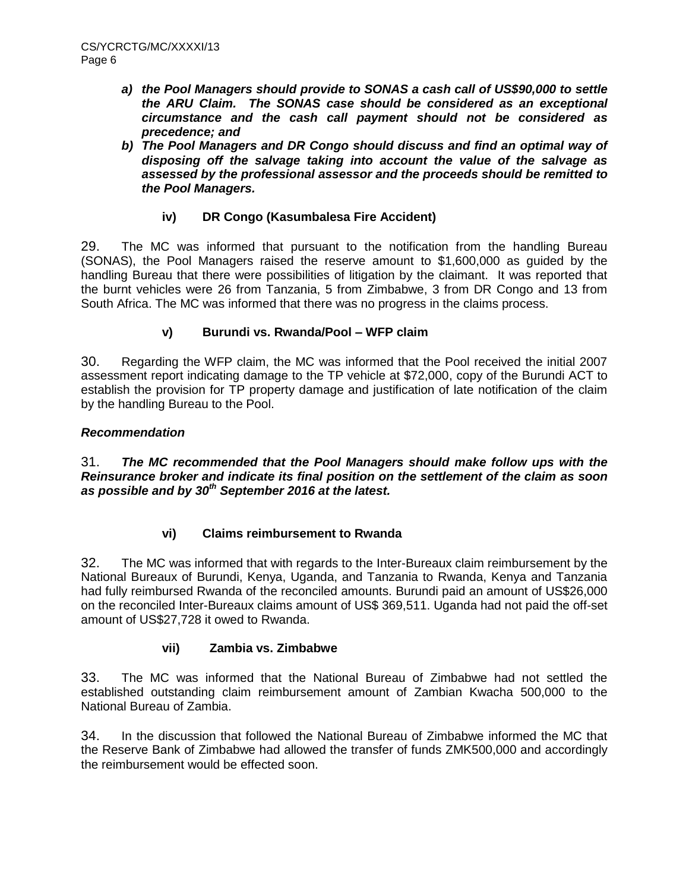- *a) the Pool Managers should provide to SONAS a cash call of US\$90,000 to settle the ARU Claim. The SONAS case should be considered as an exceptional circumstance and the cash call payment should not be considered as precedence; and*
- *b) The Pool Managers and DR Congo should discuss and find an optimal way of disposing off the salvage taking into account the value of the salvage as assessed by the professional assessor and the proceeds should be remitted to the Pool Managers.*

# **iv) DR Congo (Kasumbalesa Fire Accident)**

29. The MC was informed that pursuant to the notification from the handling Bureau (SONAS), the Pool Managers raised the reserve amount to \$1,600,000 as guided by the handling Bureau that there were possibilities of litigation by the claimant. It was reported that the burnt vehicles were 26 from Tanzania, 5 from Zimbabwe, 3 from DR Congo and 13 from South Africa. The MC was informed that there was no progress in the claims process.

# **v) Burundi vs. Rwanda/Pool – WFP claim**

30. Regarding the WFP claim, the MC was informed that the Pool received the initial 2007 assessment report indicating damage to the TP vehicle at \$72,000, copy of the Burundi ACT to establish the provision for TP property damage and justification of late notification of the claim by the handling Bureau to the Pool.

# *Recommendation*

31. *The MC recommended that the Pool Managers should make follow ups with the Reinsurance broker and indicate its final position on the settlement of the claim as soon as possible and by 30th September 2016 at the latest.*

# **vi) Claims reimbursement to Rwanda**

32. The MC was informed that with regards to the Inter-Bureaux claim reimbursement by the National Bureaux of Burundi, Kenya, Uganda, and Tanzania to Rwanda, Kenya and Tanzania had fully reimbursed Rwanda of the reconciled amounts. Burundi paid an amount of US\$26,000 on the reconciled Inter-Bureaux claims amount of US\$ 369,511. Uganda had not paid the off-set amount of US\$27,728 it owed to Rwanda.

# **vii) Zambia vs. Zimbabwe**

33. The MC was informed that the National Bureau of Zimbabwe had not settled the established outstanding claim reimbursement amount of Zambian Kwacha 500,000 to the National Bureau of Zambia.

34. In the discussion that followed the National Bureau of Zimbabwe informed the MC that the Reserve Bank of Zimbabwe had allowed the transfer of funds ZMK500,000 and accordingly the reimbursement would be effected soon.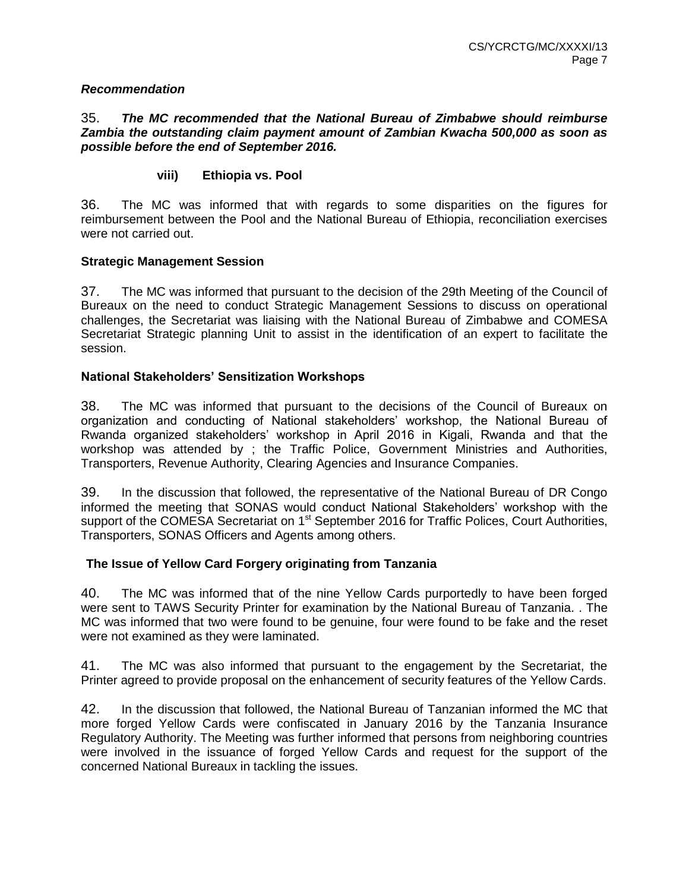#### *Recommendation*

#### 35. *The MC recommended that the National Bureau of Zimbabwe should reimburse Zambia the outstanding claim payment amount of Zambian Kwacha 500,000 as soon as possible before the end of September 2016.*

### **viii) Ethiopia vs. Pool**

36. The MC was informed that with regards to some disparities on the figures for reimbursement between the Pool and the National Bureau of Ethiopia, reconciliation exercises were not carried out.

#### **Strategic Management Session**

37. The MC was informed that pursuant to the decision of the 29th Meeting of the Council of Bureaux on the need to conduct Strategic Management Sessions to discuss on operational challenges, the Secretariat was liaising with the National Bureau of Zimbabwe and COMESA Secretariat Strategic planning Unit to assist in the identification of an expert to facilitate the session.

#### **National Stakeholders' Sensitization Workshops**

38. The MC was informed that pursuant to the decisions of the Council of Bureaux on organization and conducting of National stakeholders' workshop, the National Bureau of Rwanda organized stakeholders' workshop in April 2016 in Kigali, Rwanda and that the workshop was attended by ; the Traffic Police, Government Ministries and Authorities, Transporters, Revenue Authority, Clearing Agencies and Insurance Companies.

39. In the discussion that followed, the representative of the National Bureau of DR Congo informed the meeting that SONAS would conduct National Stakeholders' workshop with the support of the COMESA Secretariat on 1<sup>st</sup> September 2016 for Traffic Polices, Court Authorities, Transporters, SONAS Officers and Agents among others.

#### **The Issue of Yellow Card Forgery originating from Tanzania**

40. The MC was informed that of the nine Yellow Cards purportedly to have been forged were sent to TAWS Security Printer for examination by the National Bureau of Tanzania. . The MC was informed that two were found to be genuine, four were found to be fake and the reset were not examined as they were laminated.

41. The MC was also informed that pursuant to the engagement by the Secretariat, the Printer agreed to provide proposal on the enhancement of security features of the Yellow Cards.

42. In the discussion that followed, the National Bureau of Tanzanian informed the MC that more forged Yellow Cards were confiscated in January 2016 by the Tanzania Insurance Regulatory Authority. The Meeting was further informed that persons from neighboring countries were involved in the issuance of forged Yellow Cards and request for the support of the concerned National Bureaux in tackling the issues.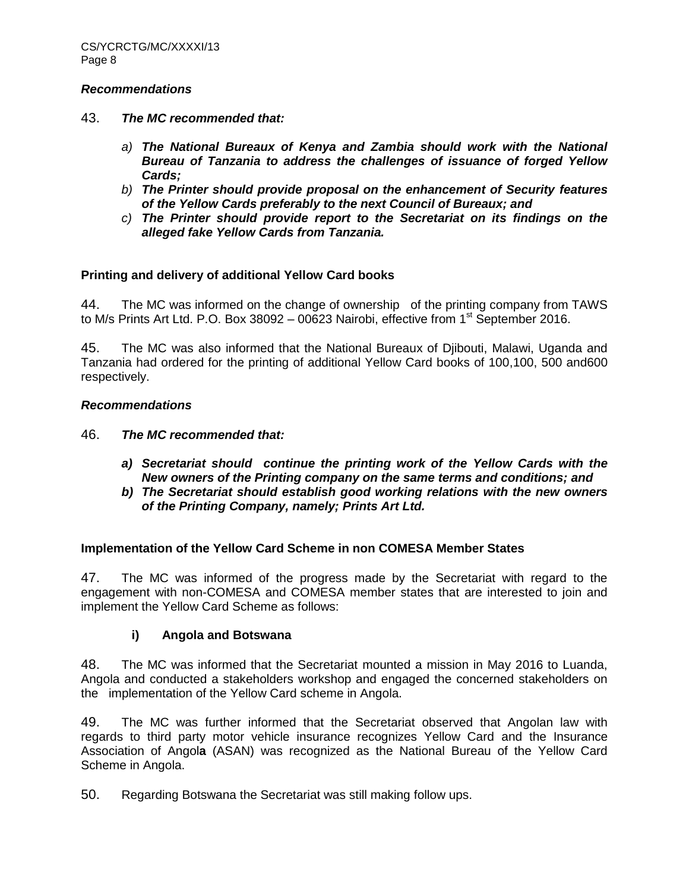#### *Recommendations*

- 43. *The MC recommended that:*
	- *a) The National Bureaux of Kenya and Zambia should work with the National Bureau of Tanzania to address the challenges of issuance of forged Yellow Cards;*
	- *b) The Printer should provide proposal on the enhancement of Security features of the Yellow Cards preferably to the next Council of Bureaux; and*
	- *c) The Printer should provide report to the Secretariat on its findings on the alleged fake Yellow Cards from Tanzania.*

### **Printing and delivery of additional Yellow Card books**

44. The MC was informed on the change of ownership of the printing company from TAWS to M/s Prints Art Ltd. P.O. Box 38092 – 00623 Nairobi, effective from  $1<sup>st</sup>$  September 2016.

45. The MC was also informed that the National Bureaux of Djibouti, Malawi, Uganda and Tanzania had ordered for the printing of additional Yellow Card books of 100,100, 500 and600 respectively.

#### *Recommendations*

- 46. *The MC recommended that:*
	- *a) Secretariat should continue the printing work of the Yellow Cards with the New owners of the Printing company on the same terms and conditions; and*
	- *b) The Secretariat should establish good working relations with the new owners of the Printing Company, namely; Prints Art Ltd.*

#### **Implementation of the Yellow Card Scheme in non COMESA Member States**

47. The MC was informed of the progress made by the Secretariat with regard to the engagement with non-COMESA and COMESA member states that are interested to join and implement the Yellow Card Scheme as follows:

# **i) Angola and Botswana**

48. The MC was informed that the Secretariat mounted a mission in May 2016 to Luanda, Angola and conducted a stakeholders workshop and engaged the concerned stakeholders on the implementation of the Yellow Card scheme in Angola.

49. The MC was further informed that the Secretariat observed that Angolan law with regards to third party motor vehicle insurance recognizes Yellow Card and the Insurance Association of Angol**a** (ASAN) was recognized as the National Bureau of the Yellow Card Scheme in Angola.

50. Regarding Botswana the Secretariat was still making follow ups.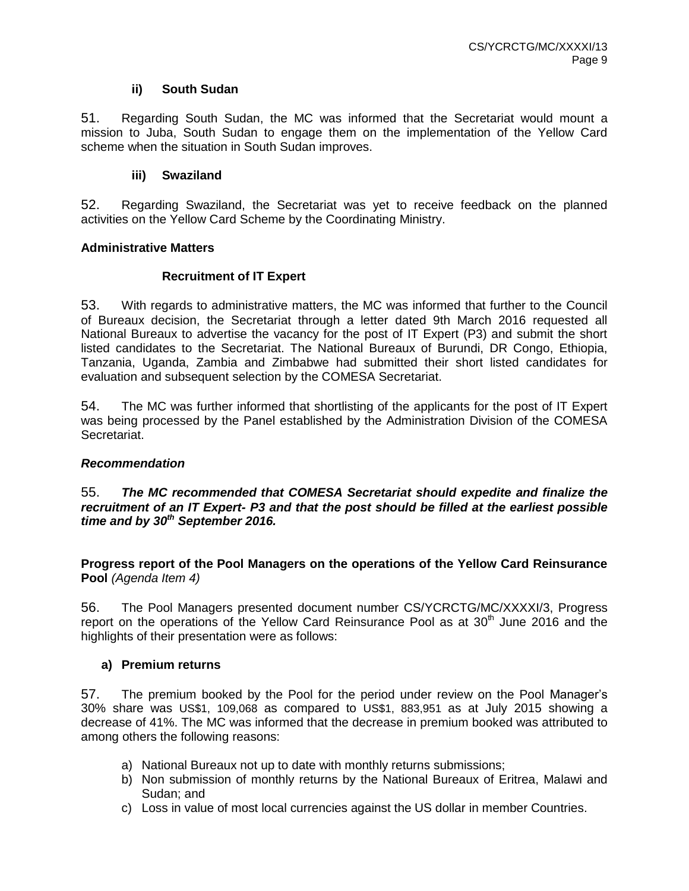### **ii) South Sudan**

51. Regarding South Sudan, the MC was informed that the Secretariat would mount a mission to Juba, South Sudan to engage them on the implementation of the Yellow Card scheme when the situation in South Sudan improves.

### **iii) Swaziland**

52. Regarding Swaziland, the Secretariat was yet to receive feedback on the planned activities on the Yellow Card Scheme by the Coordinating Ministry.

### **Administrative Matters**

### **Recruitment of IT Expert**

53. With regards to administrative matters, the MC was informed that further to the Council of Bureaux decision, the Secretariat through a letter dated 9th March 2016 requested all National Bureaux to advertise the vacancy for the post of IT Expert (P3) and submit the short listed candidates to the Secretariat. The National Bureaux of Burundi, DR Congo, Ethiopia, Tanzania, Uganda, Zambia and Zimbabwe had submitted their short listed candidates for evaluation and subsequent selection by the COMESA Secretariat.

54. The MC was further informed that shortlisting of the applicants for the post of IT Expert was being processed by the Panel established by the Administration Division of the COMESA Secretariat.

#### *Recommendation*

55. *The MC recommended that COMESA Secretariat should expedite and finalize the recruitment of an IT Expert- P3 and that the post should be filled at the earliest possible time and by 30th September 2016.*

**Progress report of the Pool Managers on the operations of the Yellow Card Reinsurance Pool** *(Agenda Item 4)*

56. The Pool Managers presented document number CS/YCRCTG/MC/XXXXI/3, Progress report on the operations of the Yellow Card Reinsurance Pool as at  $30<sup>th</sup>$  June 2016 and the highlights of their presentation were as follows:

# **a) Premium returns**

57. The premium booked by the Pool for the period under review on the Pool Manager's 30% share was US\$1, 109,068 as compared to US\$1, 883,951 as at July 2015 showing a decrease of 41%. The MC was informed that the decrease in premium booked was attributed to among others the following reasons:

- a) National Bureaux not up to date with monthly returns submissions;
- b) Non submission of monthly returns by the National Bureaux of Eritrea, Malawi and Sudan; and
- c) Loss in value of most local currencies against the US dollar in member Countries.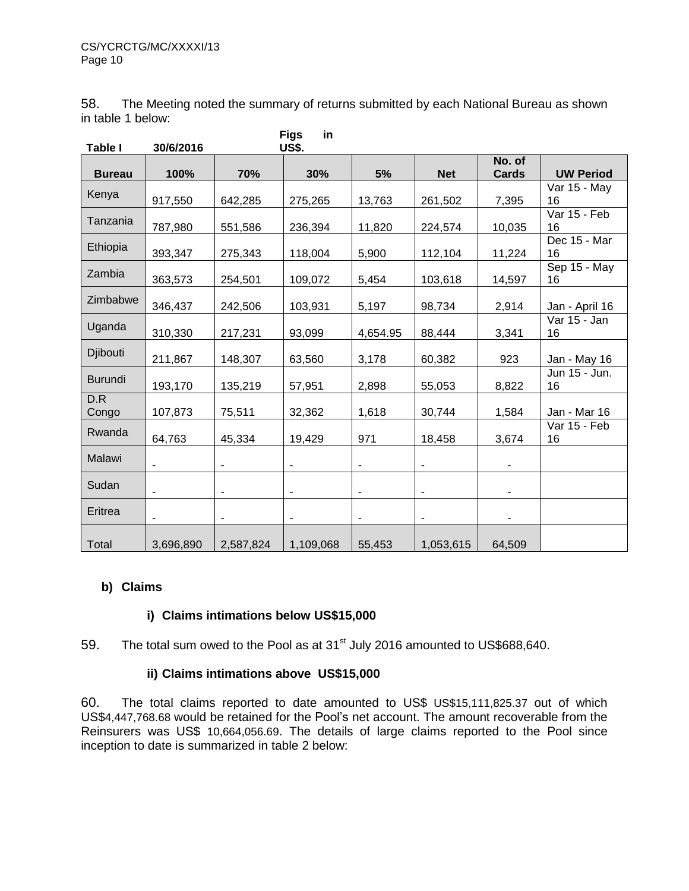58. The Meeting noted the summary of returns submitted by each National Bureau as shown in table 1 below:

| Table I        | 30/6/2016                |                          | <b>Figs</b><br>in<br><b>US\$.</b> |                          |                          |                          |                     |
|----------------|--------------------------|--------------------------|-----------------------------------|--------------------------|--------------------------|--------------------------|---------------------|
| <b>Bureau</b>  | 100%                     | 70%                      | 30%                               | 5%                       | <b>Net</b>               | No. of<br><b>Cards</b>   | <b>UW Period</b>    |
| Kenya          | 917,550                  | 642,285                  | 275,265                           | 13,763                   | 261,502                  | 7,395                    | Var 15 - May<br>16  |
| Tanzania       | 787,980                  | 551,586                  | 236,394                           | 11,820                   | 224,574                  | 10,035                   | Var 15 - Feb<br>16  |
| Ethiopia       | 393,347                  | 275,343                  | 118,004                           | 5,900                    | 112,104                  | 11,224                   | Dec 15 - Mar<br>16  |
| Zambia         | 363,573                  | 254,501                  | 109,072                           | 5,454                    | 103,618                  | 14,597                   | Sep 15 - May<br>16  |
| Zimbabwe       | 346,437                  | 242,506                  | 103,931                           | 5,197                    | 98,734                   | 2,914                    | Jan - April 16      |
| Uganda         | 310,330                  | 217,231                  | 93,099                            | 4,654.95                 | 88,444                   | 3,341                    | Var 15 - Jan<br>16  |
| Djibouti       | 211,867                  | 148,307                  | 63,560                            | 3,178                    | 60,382                   | 923                      | Jan - May 16        |
| <b>Burundi</b> | 193,170                  | 135,219                  | 57,951                            | 2,898                    | 55,053                   | 8,822                    | Jun 15 - Jun.<br>16 |
| D.R<br>Congo   | 107,873                  | 75,511                   | 32,362                            | 1,618                    | 30,744                   | 1,584                    | Jan - Mar 16        |
| Rwanda         | 64,763                   | 45,334                   | 19,429                            | 971                      | 18,458                   | 3,674                    | Var 15 - Feb<br>16  |
| Malawi         | $\overline{\phantom{a}}$ | $\blacksquare$           | $\overline{\phantom{a}}$          | $\overline{\phantom{a}}$ | $\blacksquare$           |                          |                     |
| Sudan          | $\overline{\phantom{0}}$ | $\overline{\phantom{a}}$ | $\blacksquare$                    | $\blacksquare$           | $\blacksquare$           | $\overline{\phantom{a}}$ |                     |
| Eritrea        |                          |                          | ÷                                 |                          | $\overline{\phantom{a}}$ |                          |                     |
| Total          | 3,696,890                | 2,587,824                | 1,109,068                         | 55,453                   | 1,053,615                | 64,509                   |                     |

# **b) Claims**

# **i) Claims intimations below US\$15,000**

59. The total sum owed to the Pool as at 31<sup>st</sup> July 2016 amounted to US\$688,640.

# **ii) Claims intimations above US\$15,000**

60. The total claims reported to date amounted to US\$ US\$15,111,825.37 out of which US\$4,447,768.68 would be retained for the Pool's net account. The amount recoverable from the Reinsurers was US\$ 10,664,056.69. The details of large claims reported to the Pool since inception to date is summarized in table 2 below: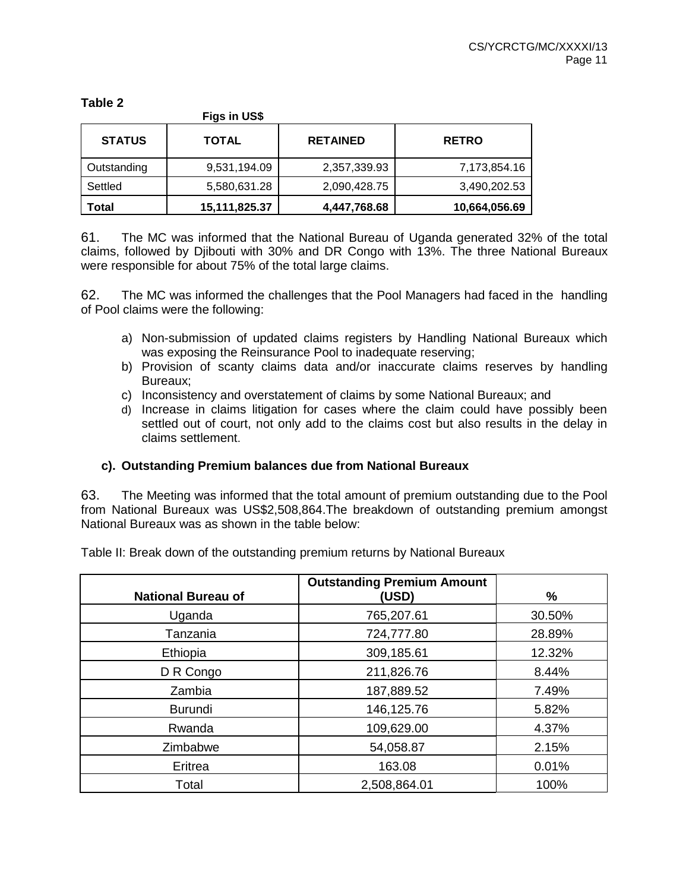**Figs in US\$ STATUS TOTAL RETAINED RETRO** Outstanding | 9,531,194.09 | 2,357,339.93 | 7,173,854.16 Settled  $5,580,631.28$   $2,090,428.75$   $3,490,202.53$ **Total 15,111,825.37 4,447,768.68 10,664,056.69**

61. The MC was informed that the National Bureau of Uganda generated 32% of the total claims, followed by Djibouti with 30% and DR Congo with 13%. The three National Bureaux were responsible for about 75% of the total large claims.

62. The MC was informed the challenges that the Pool Managers had faced in the handling of Pool claims were the following:

- a) Non-submission of updated claims registers by Handling National Bureaux which was exposing the Reinsurance Pool to inadequate reserving;
- b) Provision of scanty claims data and/or inaccurate claims reserves by handling Bureaux;
- c) Inconsistency and overstatement of claims by some National Bureaux; and
- d) Increase in claims litigation for cases where the claim could have possibly been settled out of court, not only add to the claims cost but also results in the delay in claims settlement.

# **c). Outstanding Premium balances due from National Bureaux**

63. The Meeting was informed that the total amount of premium outstanding due to the Pool from National Bureaux was US\$2,508,864.The breakdown of outstanding premium amongst National Bureaux was as shown in the table below:

Table II: Break down of the outstanding premium returns by National Bureaux

|                           | <b>Outstanding Premium Amount</b> |        |
|---------------------------|-----------------------------------|--------|
| <b>National Bureau of</b> | (USD)                             | $\%$   |
| Uganda                    | 765,207.61                        | 30.50% |
| Tanzania                  | 724,777.80                        | 28.89% |
| Ethiopia                  | 309,185.61                        | 12.32% |
| D R Congo                 | 211,826.76                        | 8.44%  |
| Zambia                    | 187,889.52                        | 7.49%  |
| <b>Burundi</b>            | 146,125.76                        | 5.82%  |
| Rwanda                    | 109,629.00                        | 4.37%  |
| Zimbabwe                  | 54,058.87                         | 2.15%  |
| Eritrea                   | 163.08                            | 0.01%  |
| Total                     | 2,508,864.01                      | 100%   |

#### **Table 2**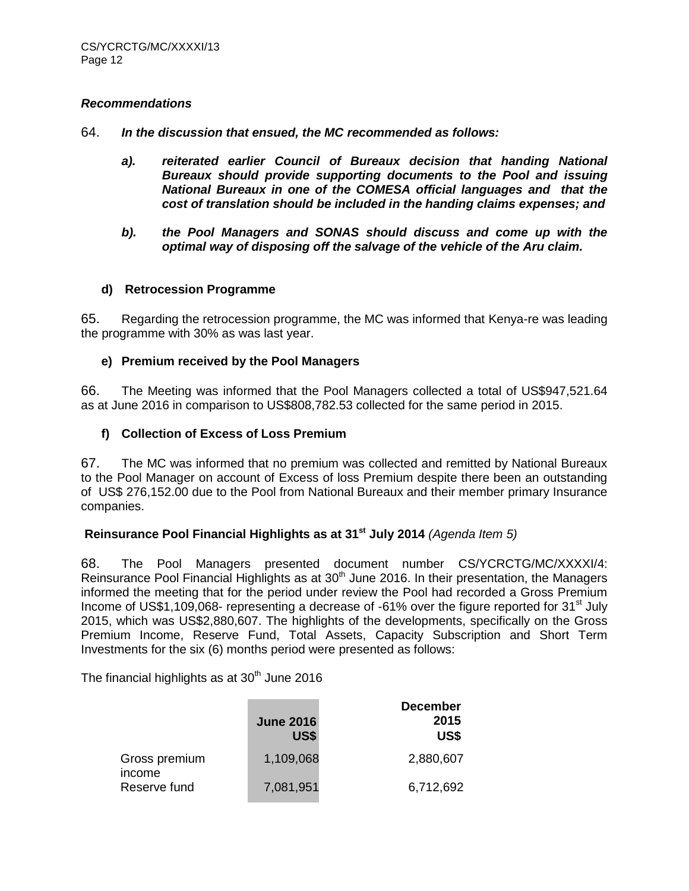#### *Recommendations*

64. *In the discussion that ensued, the MC recommended as follows:*

- a). reiterated earlier Council of Bureaux decision that handing National *Bureaux should provide supporting documents to the Pool and issuing National Bureaux in one of the COMESA official languages and that the cost of translation should be included in the handing claims expenses; and*
- *b). the Pool Managers and SONAS should discuss and come up with the optimal way of disposing off the salvage of the vehicle of the Aru claim.*

#### **d) Retrocession Programme**

65. Regarding the retrocession programme, the MC was informed that Kenya-re was leading the programme with 30% as was last year.

### **e) Premium received by the Pool Managers**

66. The Meeting was informed that the Pool Managers collected a total of US\$947,521.64 as at June 2016 in comparison to US\$808,782.53 collected for the same period in 2015.

### **f) Collection of Excess of Loss Premium**

67. The MC was informed that no premium was collected and remitted by National Bureaux to the Pool Manager on account of Excess of loss Premium despite there been an outstanding of US\$ 276,152.00 due to the Pool from National Bureaux and their member primary Insurance companies.

### **Reinsurance Pool Financial Highlights as at 31st July 2014** *(Agenda Item 5)*

68. The Pool Managers presented document number CS/YCRCTG/MC/XXXXI/4: Reinsurance Pool Financial Highlights as at 30<sup>th</sup> June 2016. In their presentation, the Managers informed the meeting that for the period under review the Pool had recorded a Gross Premium Income of US\$1,109,068- representing a decrease of -61% over the figure reported for 31<sup>st</sup> July 2015, which was US\$2,880,607. The highlights of the developments, specifically on the Gross Premium Income, Reserve Fund, Total Assets, Capacity Subscription and Short Term Investments for the six (6) months period were presented as follows:

The financial highlights as at  $30<sup>th</sup>$  June 2016

|                         | <b>June 2016</b><br>US\$ | <b>December</b><br>2015<br>US\$ |
|-------------------------|--------------------------|---------------------------------|
| Gross premium<br>income | 1,109,068                | 2,880,607                       |
| Reserve fund            | 7,081,951                | 6,712,692                       |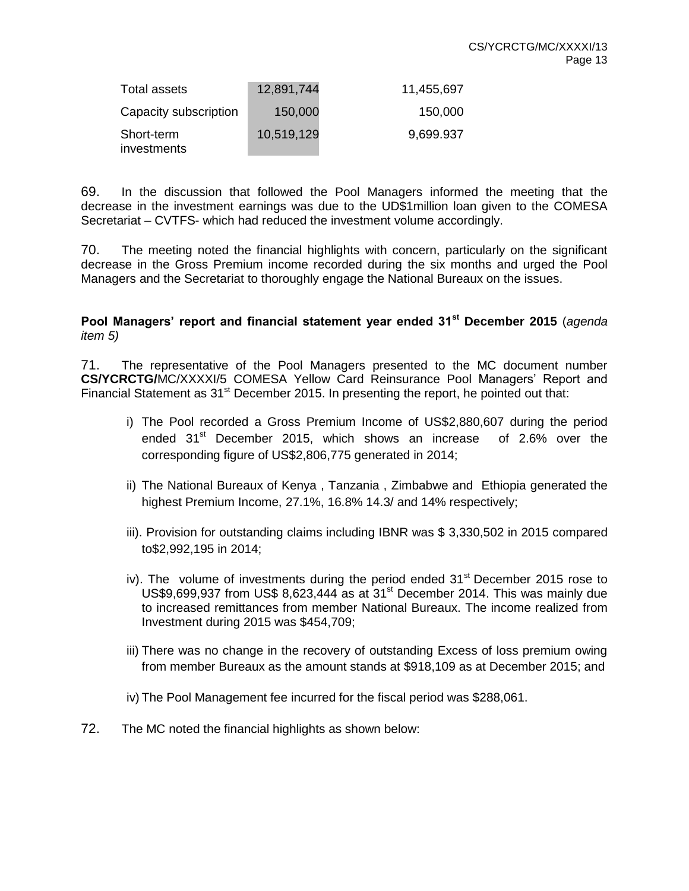| Total assets              | 12,891,744 | 11,455,697 |
|---------------------------|------------|------------|
| Capacity subscription     | 150,000    | 150,000    |
| Short-term<br>investments | 10,519,129 | 9,699.937  |

69. In the discussion that followed the Pool Managers informed the meeting that the decrease in the investment earnings was due to the UD\$1million loan given to the COMESA Secretariat – CVTFS- which had reduced the investment volume accordingly.

70. The meeting noted the financial highlights with concern, particularly on the significant decrease in the Gross Premium income recorded during the six months and urged the Pool Managers and the Secretariat to thoroughly engage the National Bureaux on the issues.

### **Pool Managers' report and financial statement year ended 31st December 2015** (*agenda item 5)*

71. The representative of the Pool Managers presented to the MC document number **CS/YCRCTG/**MC/XXXXI/5 COMESA Yellow Card Reinsurance Pool Managers' Report and Financial Statement as  $31<sup>st</sup>$  December 2015. In presenting the report, he pointed out that:

- i) The Pool recorded a Gross Premium Income of US\$2,880,607 during the period ended 31<sup>st</sup> December 2015, which shows an increase of 2.6% over the corresponding figure of US\$2,806,775 generated in 2014;
- ii) The National Bureaux of Kenya , Tanzania , Zimbabwe and Ethiopia generated the highest Premium Income, 27.1%, 16.8% 14.3/ and 14% respectively;
- iii). Provision for outstanding claims including IBNR was \$ 3,330,502 in 2015 compared to\$2,992,195 in 2014;
- iv). The volume of investments during the period ended  $31<sup>st</sup>$  December 2015 rose to US\$9,699,937 from US\$ 8,623,444 as at 31<sup>st</sup> December 2014. This was mainly due to increased remittances from member National Bureaux. The income realized from Investment during 2015 was \$454,709;
- iii) There was no change in the recovery of outstanding Excess of loss premium owing from member Bureaux as the amount stands at \$918,109 as at December 2015; and
- iv) The Pool Management fee incurred for the fiscal period was \$288,061.
- 72. The MC noted the financial highlights as shown below: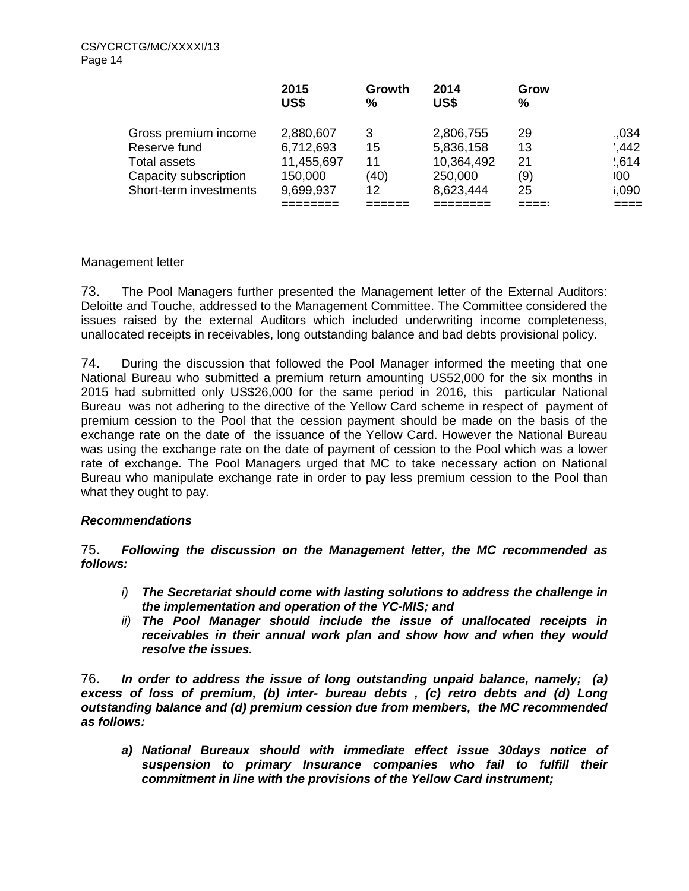|                        | 2015<br>US\$ | Growth<br>% | 2014<br>US\$ | Grow<br>% |                  |
|------------------------|--------------|-------------|--------------|-----------|------------------|
| Gross premium income   | 2,880,607    | 3           | 2,806,755    | 29        | .034             |
| Reserve fund           | 6,712,693    | 15          | 5,836,158    | 13        | $^{\prime}$ ,442 |
| Total assets           | 11,455,697   | 11          | 10,364,492   | 21        | 2,614            |
| Capacity subscription  | 150,000      | (40)        | 250,000      | (9)       | 00 <sub>0</sub>  |
| Short-term investments | 9,699,937    | 12          | 8,623,444    | 25        | ,090             |
|                        |              |             |              |           |                  |

# Management letter

73. The Pool Managers further presented the Management letter of the External Auditors: Deloitte and Touche, addressed to the Management Committee. The Committee considered the issues raised by the external Auditors which included underwriting income completeness, unallocated receipts in receivables, long outstanding balance and bad debts provisional policy.

74. During the discussion that followed the Pool Manager informed the meeting that one National Bureau who submitted a premium return amounting US52,000 for the six months in 2015 had submitted only US\$26,000 for the same period in 2016, this particular National Bureau was not adhering to the directive of the Yellow Card scheme in respect of payment of premium cession to the Pool that the cession payment should be made on the basis of the exchange rate on the date of the issuance of the Yellow Card. However the National Bureau was using the exchange rate on the date of payment of cession to the Pool which was a lower rate of exchange. The Pool Managers urged that MC to take necessary action on National Bureau who manipulate exchange rate in order to pay less premium cession to the Pool than what they ought to pay.

# *Recommendations*

75. *Following the discussion on the Management letter, the MC recommended as follows:*

- *i) The Secretariat should come with lasting solutions to address the challenge in the implementation and operation of the YC-MIS; and*
- *ii) The Pool Manager should include the issue of unallocated receipts in receivables in their annual work plan and show how and when they would resolve the issues.*

76. *In order to address the issue of long outstanding unpaid balance, namely; (a) excess of loss of premium, (b) inter- bureau debts , (c) retro debts and (d) Long outstanding balance and (d) premium cession due from members, the MC recommended as follows:*

*a) National Bureaux should with immediate effect issue 30days notice of suspension to primary Insurance companies who fail to fulfill their commitment in line with the provisions of the Yellow Card instrument;*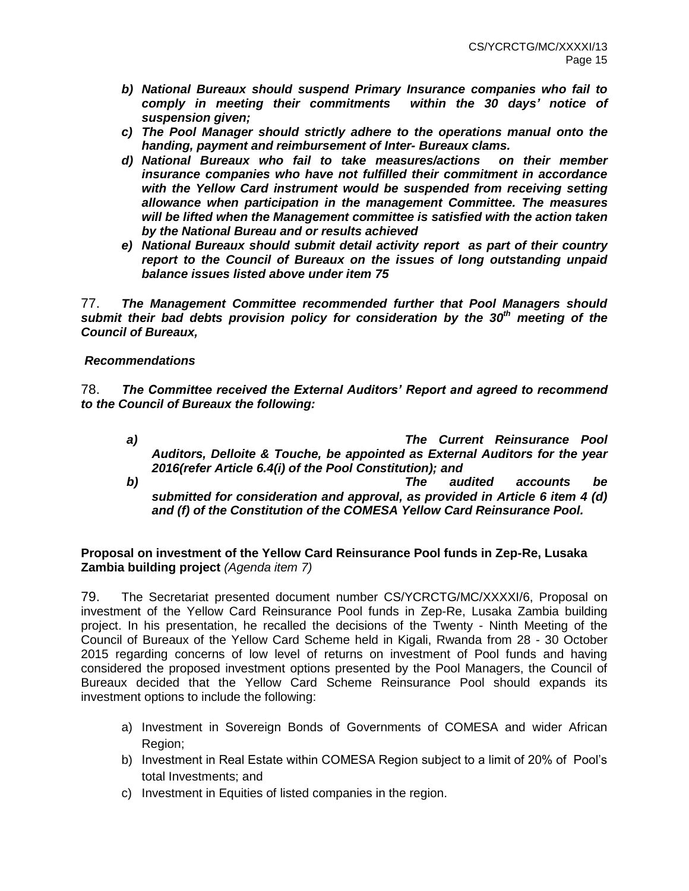- *b) National Bureaux should suspend Primary Insurance companies who fail to comply in meeting their commitments within the 30 days' notice of suspension given;*
- *c) The Pool Manager should strictly adhere to the operations manual onto the handing, payment and reimbursement of Inter- Bureaux clams.*
- *d) National Bureaux who fail to take measures/actions on their member insurance companies who have not fulfilled their commitment in accordance with the Yellow Card instrument would be suspended from receiving setting allowance when participation in the management Committee. The measures will be lifted when the Management committee is satisfied with the action taken by the National Bureau and or results achieved*
- *e) National Bureaux should submit detail activity report as part of their country report to the Council of Bureaux on the issues of long outstanding unpaid balance issues listed above under item 75*

77. *The Management Committee recommended further that Pool Managers should submit their bad debts provision policy for consideration by the 30th meeting of the Council of Bureaux,*

#### *Recommendations*

78. *The Committee received the External Auditors' Report and agreed to recommend to the Council of Bureaux the following:*

- *a) The Current Reinsurance Pool Auditors, Delloite & Touche, be appointed as External Auditors for the year 2016(refer Article 6.4(i) of the Pool Constitution); and b) The audited accounts be*
- *submitted for consideration and approval, as provided in Article 6 item 4 (d) and (f) of the Constitution of the COMESA Yellow Card Reinsurance Pool.*

### **Proposal on investment of the Yellow Card Reinsurance Pool funds in Zep-Re, Lusaka Zambia building project** *(Agenda item 7)*

79. The Secretariat presented document number CS/YCRCTG/MC/XXXXI/6, Proposal on investment of the Yellow Card Reinsurance Pool funds in Zep-Re, Lusaka Zambia building project. In his presentation, he recalled the decisions of the Twenty - Ninth Meeting of the Council of Bureaux of the Yellow Card Scheme held in Kigali, Rwanda from 28 - 30 October 2015 regarding concerns of low level of returns on investment of Pool funds and having considered the proposed investment options presented by the Pool Managers, the Council of Bureaux decided that the Yellow Card Scheme Reinsurance Pool should expands its investment options to include the following:

- a) Investment in Sovereign Bonds of Governments of COMESA and wider African Region;
- b) Investment in Real Estate within COMESA Region subject to a limit of 20% of Pool's total Investments; and
- c) Investment in Equities of listed companies in the region.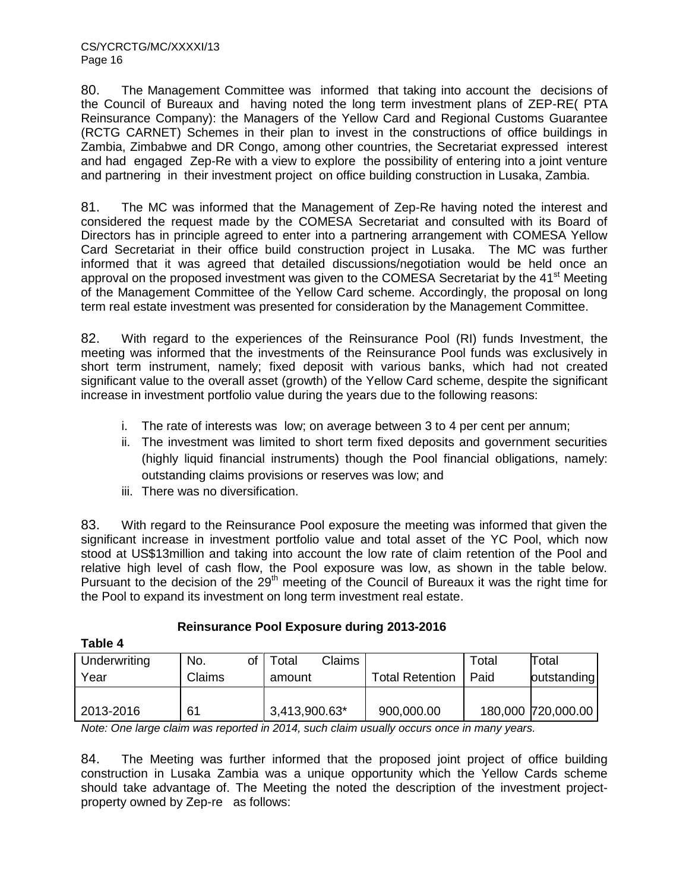80. The Management Committee was informed that taking into account the decisions of the Council of Bureaux and having noted the long term investment plans of ZEP-RE( PTA Reinsurance Company): the Managers of the Yellow Card and Regional Customs Guarantee (RCTG CARNET) Schemes in their plan to invest in the constructions of office buildings in Zambia, Zimbabwe and DR Congo, among other countries, the Secretariat expressed interest and had engaged Zep-Re with a view to explore the possibility of entering into a joint venture and partnering in their investment project on office building construction in Lusaka, Zambia.

81. The MC was informed that the Management of Zep-Re having noted the interest and considered the request made by the COMESA Secretariat and consulted with its Board of Directors has in principle agreed to enter into a partnering arrangement with COMESA Yellow Card Secretariat in their office build construction project in Lusaka. The MC was further informed that it was agreed that detailed discussions/negotiation would be held once an approval on the proposed investment was given to the COMESA Secretariat by the 41<sup>st</sup> Meeting of the Management Committee of the Yellow Card scheme. Accordingly, the proposal on long term real estate investment was presented for consideration by the Management Committee.

82. With regard to the experiences of the Reinsurance Pool (RI) funds Investment, the meeting was informed that the investments of the Reinsurance Pool funds was exclusively in short term instrument, namely; fixed deposit with various banks, which had not created significant value to the overall asset (growth) of the Yellow Card scheme, despite the significant increase in investment portfolio value during the years due to the following reasons:

- i. The rate of interests was low; on average between 3 to 4 per cent per annum;
- ii. The investment was limited to short term fixed deposits and government securities (highly liquid financial instruments) though the Pool financial obligations, namely: outstanding claims provisions or reserves was low; and
- iii. There was no diversification.

83. With regard to the Reinsurance Pool exposure the meeting was informed that given the significant increase in investment portfolio value and total asset of the YC Pool, which now stood at US\$13million and taking into account the low rate of claim retention of the Pool and relative high level of cash flow, the Pool exposure was low, as shown in the table below. Pursuant to the decision of the  $29<sup>th</sup>$  meeting of the Council of Bureaux it was the right time for the Pool to expand its investment on long term investment real estate.

# **Reinsurance Pool Exposure during 2013-2016**

| 1<br>Ш<br>0 | ı |  |
|-------------|---|--|
|             |   |  |

| Underwriting<br>Year | of<br>No.<br>Claims | <b>Claims</b><br>Total<br>amount | <b>Total Retention</b> | Total<br>Paid | Total<br>outstanding |
|----------------------|---------------------|----------------------------------|------------------------|---------------|----------------------|
| 2013-2016            | 61                  | 3,413,900.63*                    | 900,000.00             |               | 180,000 720,000.00   |

*Note: One large claim was reported in 2014, such claim usually occurs once in many years.*

84. The Meeting was further informed that the proposed joint project of office building construction in Lusaka Zambia was a unique opportunity which the Yellow Cards scheme should take advantage of. The Meeting the noted the description of the investment projectproperty owned by Zep-re as follows: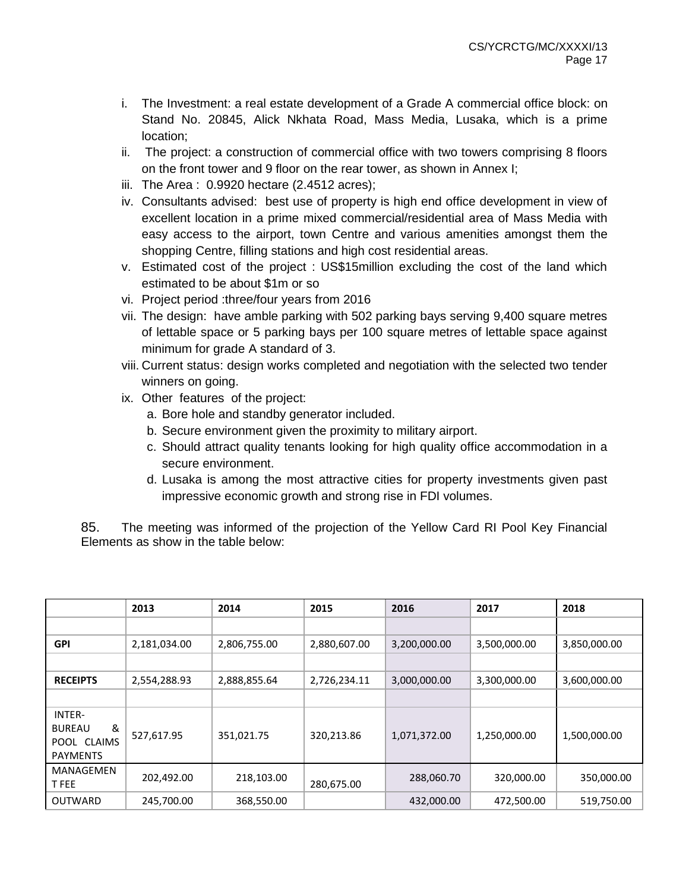- i. The Investment: a real estate development of a Grade A commercial office block: on Stand No. 20845, Alick Nkhata Road, Mass Media, Lusaka, which is a prime location;
- ii. The project: a construction of commercial office with two towers comprising 8 floors on the front tower and 9 floor on the rear tower, as shown in Annex I;
- iii. The Area : 0.9920 hectare (2.4512 acres);
- iv. Consultants advised: best use of property is high end office development in view of excellent location in a prime mixed commercial/residential area of Mass Media with easy access to the airport, town Centre and various amenities amongst them the shopping Centre, filling stations and high cost residential areas.
- v. Estimated cost of the project : US\$15million excluding the cost of the land which estimated to be about \$1m or so
- vi. Project period :three/four years from 2016
- vii. The design: have amble parking with 502 parking bays serving 9,400 square metres of lettable space or 5 parking bays per 100 square metres of lettable space against minimum for grade A standard of 3.
- viii. Current status: design works completed and negotiation with the selected two tender winners on going.
- ix. Other features of the project:
	- a. Bore hole and standby generator included.
	- b. Secure environment given the proximity to military airport.
	- c. Should attract quality tenants looking for high quality office accommodation in a secure environment.
	- d. Lusaka is among the most attractive cities for property investments given past impressive economic growth and strong rise in FDI volumes.

85. The meeting was informed of the projection of the Yellow Card RI Pool Key Financial Elements as show in the table below:

|                                                                | 2013         | 2014         | 2015         | 2016         | 2017         | 2018         |
|----------------------------------------------------------------|--------------|--------------|--------------|--------------|--------------|--------------|
|                                                                |              |              |              |              |              |              |
| <b>GPI</b>                                                     | 2,181,034.00 | 2,806,755.00 | 2,880,607.00 | 3,200,000.00 | 3,500,000.00 | 3,850,000.00 |
|                                                                |              |              |              |              |              |              |
| <b>RECEIPTS</b>                                                | 2,554,288.93 | 2,888,855.64 | 2,726,234.11 | 3,000,000.00 | 3,300,000.00 | 3,600,000.00 |
|                                                                |              |              |              |              |              |              |
| INTER-<br>&<br><b>BUREAU</b><br>POOL CLAIMS<br><b>PAYMENTS</b> | 527,617.95   | 351,021.75   | 320,213.86   | 1,071,372.00 | 1,250,000.00 | 1,500,000.00 |
| <b>MANAGEMEN</b><br>T FEE                                      | 202,492.00   | 218,103.00   | 280,675.00   | 288,060.70   | 320,000.00   | 350,000.00   |
| <b>OUTWARD</b>                                                 | 245,700.00   | 368,550.00   |              | 432,000.00   | 472,500.00   | 519,750.00   |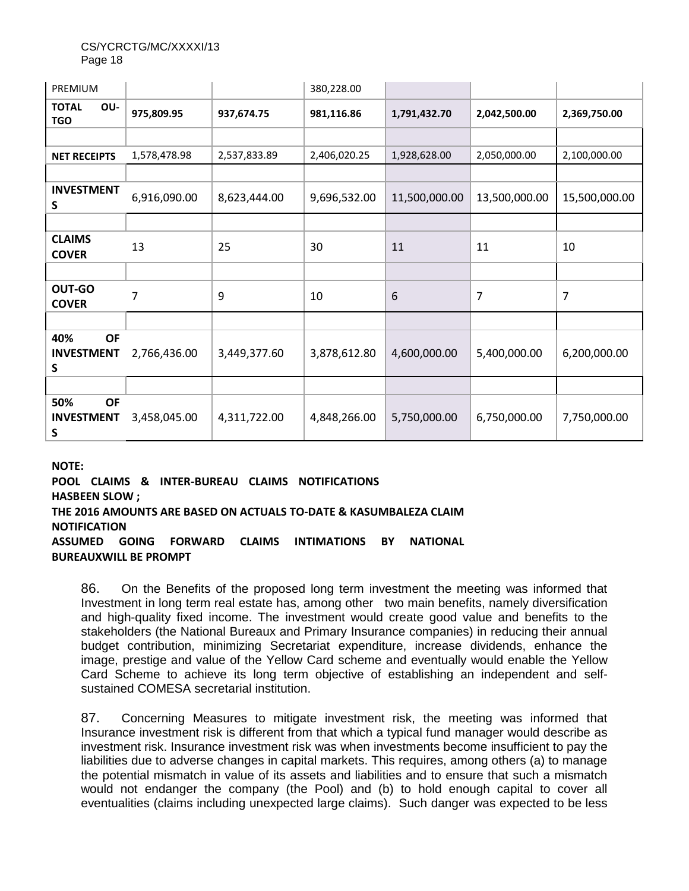CS/YCRCTG/MC/XXXXI/13 Page 18

| PREMIUM                                    |              |              | 380,228.00   |               |               |               |
|--------------------------------------------|--------------|--------------|--------------|---------------|---------------|---------------|
| OU-<br><b>TOTAL</b><br><b>TGO</b>          | 975,809.95   | 937,674.75   | 981,116.86   | 1,791,432.70  | 2,042,500.00  | 2,369,750.00  |
|                                            |              |              |              |               |               |               |
| <b>NET RECEIPTS</b>                        | 1,578,478.98 | 2,537,833.89 | 2,406,020.25 | 1,928,628.00  | 2,050,000.00  | 2,100,000.00  |
|                                            |              |              |              |               |               |               |
| <b>INVESTMENT</b><br>S                     | 6,916,090.00 | 8,623,444.00 | 9,696,532.00 | 11,500,000.00 | 13,500,000.00 | 15,500,000.00 |
|                                            |              |              |              |               |               |               |
| <b>CLAIMS</b><br><b>COVER</b>              | 13           | 25           | 30           | 11            | 11            | 10            |
|                                            |              |              |              |               |               |               |
| OUT-GO<br><b>COVER</b>                     | 7            | 9            | 10           | 6             | 7             | 7             |
|                                            |              |              |              |               |               |               |
| <b>OF</b><br>40%<br><b>INVESTMENT</b><br>S | 2,766,436.00 | 3,449,377.60 | 3,878,612.80 | 4,600,000.00  | 5,400,000.00  | 6,200,000.00  |
|                                            |              |              |              |               |               |               |
| 50%<br><b>OF</b><br><b>INVESTMENT</b><br>S | 3,458,045.00 | 4,311,722.00 | 4,848,266.00 | 5,750,000.00  | 6,750,000.00  | 7,750,000.00  |

**NOTE:** 

**POOL CLAIMS & INTER-BUREAU CLAIMS NOTIFICATIONS HASBEEN SLOW ; THE 2016 AMOUNTS ARE BASED ON ACTUALS TO-DATE & KASUMBALEZA CLAIM NOTIFICATION ASSUMED GOING FORWARD CLAIMS INTIMATIONS BY NATIONAL BUREAUXWILL BE PROMPT**

86. On the Benefits of the proposed long term investment the meeting was informed that Investment in long term real estate has, among other two main benefits, namely diversification and high-quality fixed income. The investment would create good value and benefits to the stakeholders (the National Bureaux and Primary Insurance companies) in reducing their annual budget contribution, minimizing Secretariat expenditure, increase dividends, enhance the image, prestige and value of the Yellow Card scheme and eventually would enable the Yellow Card Scheme to achieve its long term objective of establishing an independent and selfsustained COMESA secretarial institution.

87. Concerning Measures to mitigate investment risk, the meeting was informed that Insurance investment risk is different from that which a typical fund manager would describe as investment risk. Insurance investment risk was when investments become insufficient to pay the liabilities due to adverse changes in capital markets. This requires, among others (a) to manage the potential mismatch in value of its assets and liabilities and to ensure that such a mismatch would not endanger the company (the Pool) and (b) to hold enough capital to cover all eventualities (claims including unexpected large claims). Such danger was expected to be less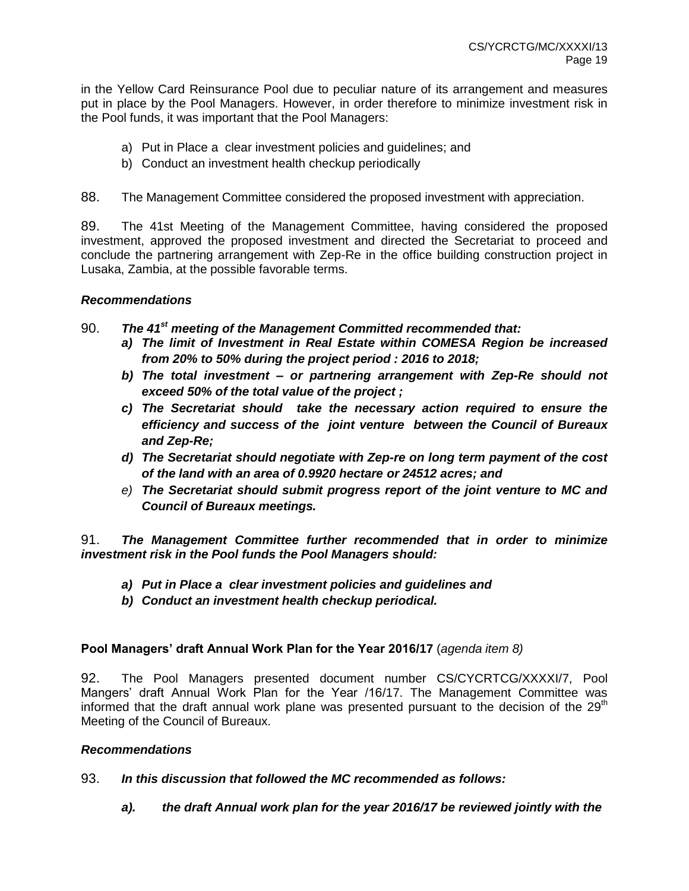in the Yellow Card Reinsurance Pool due to peculiar nature of its arrangement and measures put in place by the Pool Managers. However, in order therefore to minimize investment risk in the Pool funds, it was important that the Pool Managers:

- a) Put in Place a clear investment policies and guidelines; and
- b) Conduct an investment health checkup periodically

88. The Management Committee considered the proposed investment with appreciation.

89. The 41st Meeting of the Management Committee, having considered the proposed investment, approved the proposed investment and directed the Secretariat to proceed and conclude the partnering arrangement with Zep-Re in the office building construction project in Lusaka, Zambia, at the possible favorable terms.

#### *Recommendations*

- 90. *The 41st meeting of the Management Committed recommended that:* 
	- *a) The limit of Investment in Real Estate within COMESA Region be increased from 20% to 50% during the project period : 2016 to 2018;*
	- *b) The total investment – or partnering arrangement with Zep-Re should not exceed 50% of the total value of the project ;*
	- *c) The Secretariat should take the necessary action required to ensure the efficiency and success of the joint venture between the Council of Bureaux and Zep-Re;*
	- *d) The Secretariat should negotiate with Zep-re on long term payment of the cost of the land with an area of 0.9920 hectare or 24512 acres; and*
	- *e) The Secretariat should submit progress report of the joint venture to MC and Council of Bureaux meetings.*

91. *The Management Committee further recommended that in order to minimize investment risk in the Pool funds the Pool Managers should:*

- *a) Put in Place a clear investment policies and guidelines and*
- *b) Conduct an investment health checkup periodical.*

#### **Pool Managers' draft Annual Work Plan for the Year 2016/17** (*agenda item 8)*

92. The Pool Managers presented document number CS/CYCRTCG/XXXXI/7, Pool Mangers' draft Annual Work Plan for the Year /16/17. The Management Committee was informed that the draft annual work plane was presented pursuant to the decision of the  $29<sup>th</sup>$ Meeting of the Council of Bureaux.

#### *Recommendations*

- 93. *In this discussion that followed the MC recommended as follows:*
	- *a). the draft Annual work plan for the year 2016/17 be reviewed jointly with the*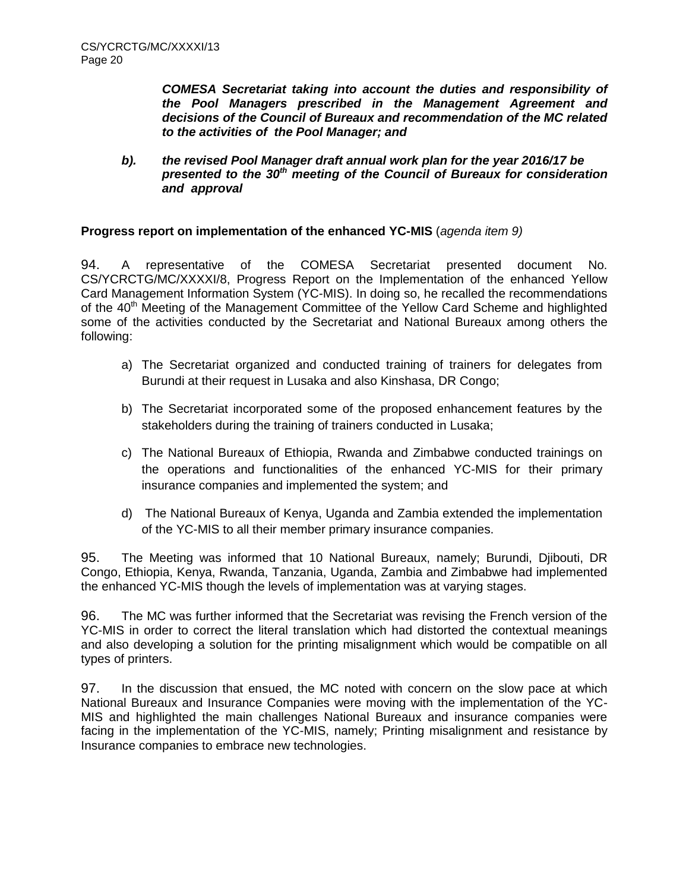*COMESA Secretariat taking into account the duties and responsibility of the Pool Managers prescribed in the Management Agreement and decisions of the Council of Bureaux and recommendation of the MC related to the activities of the Pool Manager; and* 

*b). the revised Pool Manager draft annual work plan for the year 2016/17 be presented to the 30th meeting of the Council of Bureaux for consideration and approval* 

### **Progress report on implementation of the enhanced YC-MIS** (*agenda item 9)*

94. A representative of the COMESA Secretariat presented document No. CS/YCRCTG/MC/XXXXI/8, Progress Report on the Implementation of the enhanced Yellow Card Management Information System (YC-MIS). In doing so, he recalled the recommendations of the 40<sup>th</sup> Meeting of the Management Committee of the Yellow Card Scheme and highlighted some of the activities conducted by the Secretariat and National Bureaux among others the following:

- a) The Secretariat organized and conducted training of trainers for delegates from Burundi at their request in Lusaka and also Kinshasa, DR Congo;
- b) The Secretariat incorporated some of the proposed enhancement features by the stakeholders during the training of trainers conducted in Lusaka;
- c) The National Bureaux of Ethiopia, Rwanda and Zimbabwe conducted trainings on the operations and functionalities of the enhanced YC-MIS for their primary insurance companies and implemented the system; and
- d) The National Bureaux of Kenya, Uganda and Zambia extended the implementation of the YC-MIS to all their member primary insurance companies.

95. The Meeting was informed that 10 National Bureaux, namely; Burundi, Djibouti, DR Congo, Ethiopia, Kenya, Rwanda, Tanzania, Uganda, Zambia and Zimbabwe had implemented the enhanced YC-MIS though the levels of implementation was at varying stages.

96. The MC was further informed that the Secretariat was revising the French version of the YC-MIS in order to correct the literal translation which had distorted the contextual meanings and also developing a solution for the printing misalignment which would be compatible on all types of printers.

97. In the discussion that ensued, the MC noted with concern on the slow pace at which National Bureaux and Insurance Companies were moving with the implementation of the YC-MIS and highlighted the main challenges National Bureaux and insurance companies were facing in the implementation of the YC-MIS, namely; Printing misalignment and resistance by Insurance companies to embrace new technologies.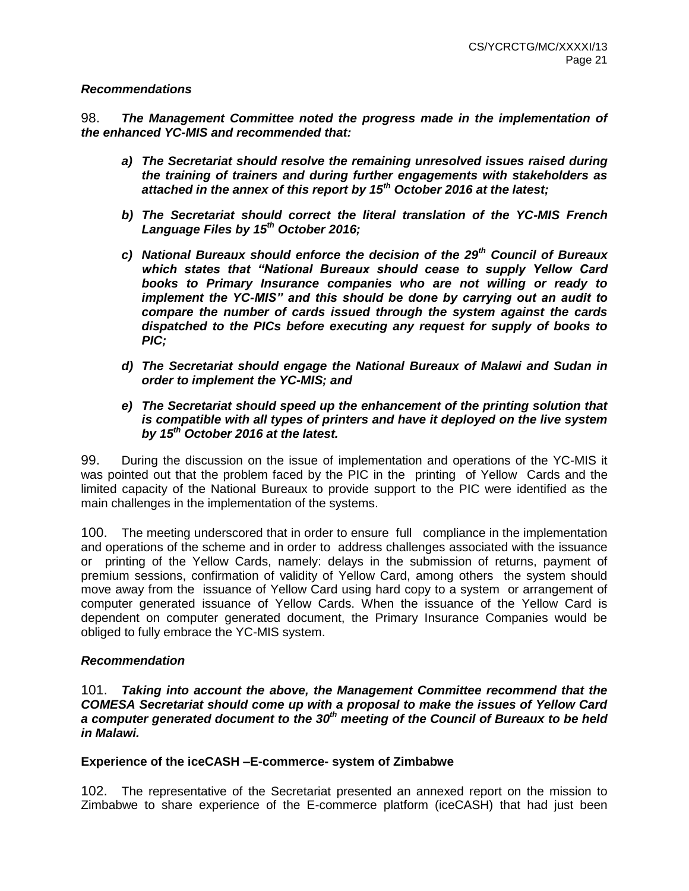#### *Recommendations*

98. *The Management Committee noted the progress made in the implementation of the enhanced YC-MIS and recommended that:* 

- *a) The Secretariat should resolve the remaining unresolved issues raised during the training of trainers and during further engagements with stakeholders as attached in the annex of this report by 15th October 2016 at the latest;*
- *b) The Secretariat should correct the literal translation of the YC-MIS French Language Files by 15th October 2016;*
- *c) National Bureaux should enforce the decision of the 29th Council of Bureaux which states that "National Bureaux should cease to supply Yellow Card books to Primary Insurance companies who are not willing or ready to implement the YC-MIS" and this should be done by carrying out an audit to compare the number of cards issued through the system against the cards dispatched to the PICs before executing any request for supply of books to PIC;*
- *d) The Secretariat should engage the National Bureaux of Malawi and Sudan in order to implement the YC-MIS; and*
- *e) The Secretariat should speed up the enhancement of the printing solution that is compatible with all types of printers and have it deployed on the live system by 15th October 2016 at the latest.*

99. During the discussion on the issue of implementation and operations of the YC-MIS it was pointed out that the problem faced by the PIC in the printing of Yellow Cards and the limited capacity of the National Bureaux to provide support to the PIC were identified as the main challenges in the implementation of the systems.

100. The meeting underscored that in order to ensure full compliance in the implementation and operations of the scheme and in order to address challenges associated with the issuance or printing of the Yellow Cards, namely: delays in the submission of returns, payment of premium sessions, confirmation of validity of Yellow Card, among others the system should move away from the issuance of Yellow Card using hard copy to a system or arrangement of computer generated issuance of Yellow Cards. When the issuance of the Yellow Card is dependent on computer generated document, the Primary Insurance Companies would be obliged to fully embrace the YC-MIS system.

#### *Recommendation*

101. *Taking into account the above, the Management Committee recommend that the COMESA Secretariat should come up with a proposal to make the issues of Yellow Card a computer generated document to the 30th meeting of the Council of Bureaux to be held in Malawi.*

#### **Experience of the iceCASH –E-commerce- system of Zimbabwe**

102. The representative of the Secretariat presented an annexed report on the mission to Zimbabwe to share experience of the E-commerce platform (iceCASH) that had just been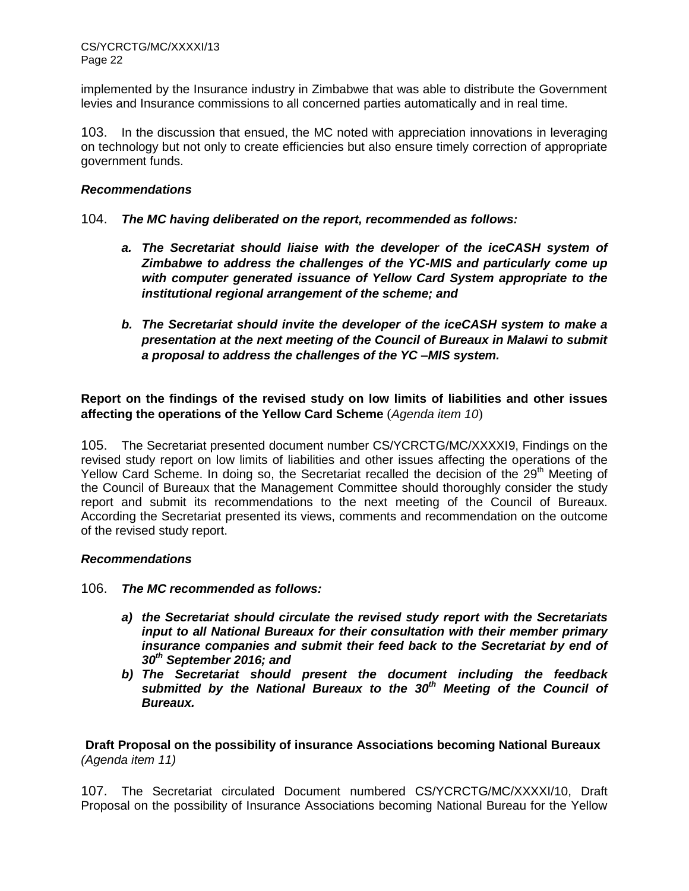implemented by the Insurance industry in Zimbabwe that was able to distribute the Government levies and Insurance commissions to all concerned parties automatically and in real time.

103. In the discussion that ensued, the MC noted with appreciation innovations in leveraging on technology but not only to create efficiencies but also ensure timely correction of appropriate government funds.

#### *Recommendations*

#### 104. *The MC having deliberated on the report, recommended as follows:*

- *a. The Secretariat should liaise with the developer of the iceCASH system of Zimbabwe to address the challenges of the YC-MIS and particularly come up with computer generated issuance of Yellow Card System appropriate to the institutional regional arrangement of the scheme; and*
- *b. The Secretariat should invite the developer of the iceCASH system to make a presentation at the next meeting of the Council of Bureaux in Malawi to submit a proposal to address the challenges of the YC –MIS system.*

**Report on the findings of the revised study on low limits of liabilities and other issues affecting the operations of the Yellow Card Scheme** (*Agenda item 10*)

105. The Secretariat presented document number CS/YCRCTG/MC/XXXXI9, Findings on the revised study report on low limits of liabilities and other issues affecting the operations of the Yellow Card Scheme. In doing so, the Secretariat recalled the decision of the 29<sup>th</sup> Meeting of the Council of Bureaux that the Management Committee should thoroughly consider the study report and submit its recommendations to the next meeting of the Council of Bureaux. According the Secretariat presented its views, comments and recommendation on the outcome of the revised study report.

#### *Recommendations*

- 106. *The MC recommended as follows:*
	- *a) the Secretariat should circulate the revised study report with the Secretariats input to all National Bureaux for their consultation with their member primary insurance companies and submit their feed back to the Secretariat by end of 30th September 2016; and*
	- *b) The Secretariat should present the document including the feedback submitted by the National Bureaux to the 30th Meeting of the Council of Bureaux.*

**Draft Proposal on the possibility of insurance Associations becoming National Bureaux** *(Agenda item 11)*

107. The Secretariat circulated Document numbered CS/YCRCTG/MC/XXXXI/10, Draft Proposal on the possibility of Insurance Associations becoming National Bureau for the Yellow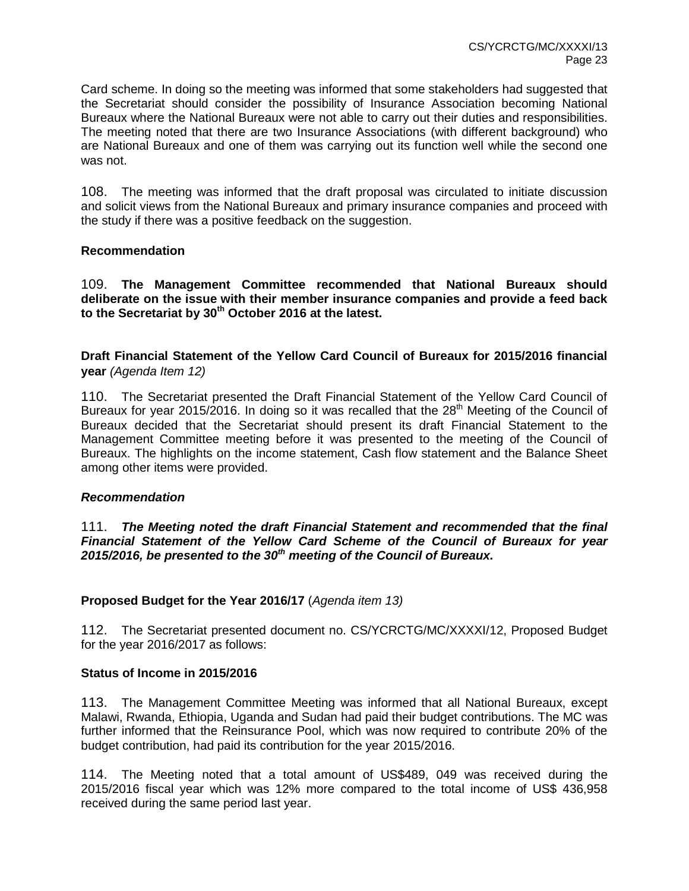Card scheme. In doing so the meeting was informed that some stakeholders had suggested that the Secretariat should consider the possibility of Insurance Association becoming National Bureaux where the National Bureaux were not able to carry out their duties and responsibilities. The meeting noted that there are two Insurance Associations (with different background) who are National Bureaux and one of them was carrying out its function well while the second one was not.

108. The meeting was informed that the draft proposal was circulated to initiate discussion and solicit views from the National Bureaux and primary insurance companies and proceed with the study if there was a positive feedback on the suggestion.

### **Recommendation**

109. **The Management Committee recommended that National Bureaux should deliberate on the issue with their member insurance companies and provide a feed back to the Secretariat by 30th October 2016 at the latest.**

**Draft Financial Statement of the Yellow Card Council of Bureaux for 2015/2016 financial year** *(Agenda Item 12)*

110. The Secretariat presented the Draft Financial Statement of the Yellow Card Council of Bureaux for year 2015/2016. In doing so it was recalled that the  $28<sup>th</sup>$  Meeting of the Council of Bureaux decided that the Secretariat should present its draft Financial Statement to the Management Committee meeting before it was presented to the meeting of the Council of Bureaux. The highlights on the income statement, Cash flow statement and the Balance Sheet among other items were provided.

#### *Recommendation*

111. *The Meeting noted the draft Financial Statement and recommended that the final Financial Statement of the Yellow Card Scheme of the Council of Bureaux for year 2015/2016, be presented to the 30th meeting of the Council of Bureaux.*

# **Proposed Budget for the Year 2016/17** (*Agenda item 13)*

112. The Secretariat presented document no. CS/YCRCTG/MC/XXXXI/12, Proposed Budget for the year 2016/2017 as follows:

#### **Status of Income in 2015/2016**

113. The Management Committee Meeting was informed that all National Bureaux, except Malawi, Rwanda, Ethiopia, Uganda and Sudan had paid their budget contributions. The MC was further informed that the Reinsurance Pool, which was now required to contribute 20% of the budget contribution, had paid its contribution for the year 2015/2016.

114. The Meeting noted that a total amount of US\$489, 049 was received during the 2015/2016 fiscal year which was 12% more compared to the total income of US\$ 436,958 received during the same period last year.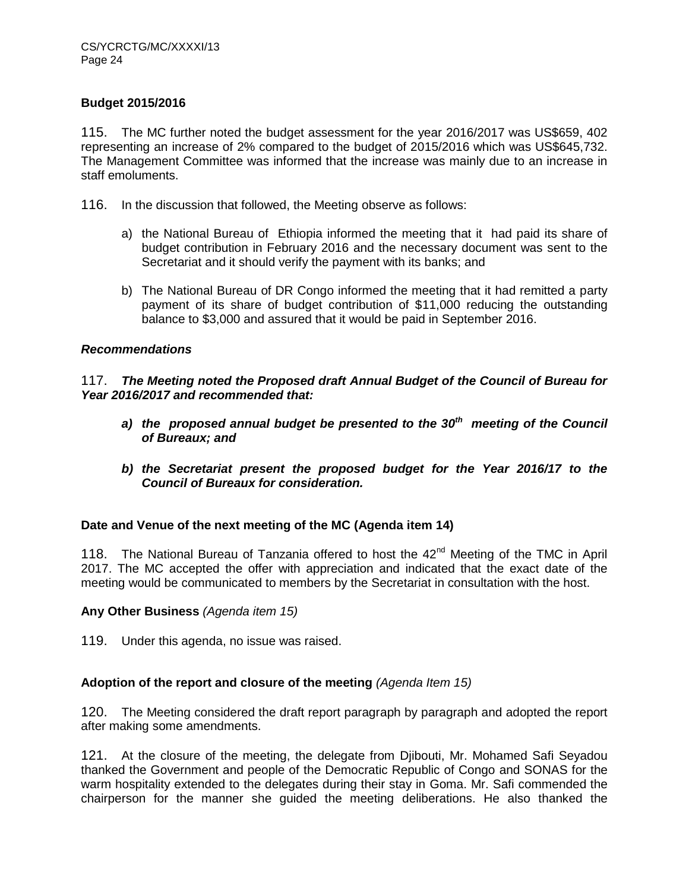# **Budget 2015/2016**

115. The MC further noted the budget assessment for the year 2016/2017 was US\$659, 402 representing an increase of 2% compared to the budget of 2015/2016 which was US\$645,732. The Management Committee was informed that the increase was mainly due to an increase in staff emoluments.

116. In the discussion that followed, the Meeting observe as follows:

- a) the National Bureau of Ethiopia informed the meeting that it had paid its share of budget contribution in February 2016 and the necessary document was sent to the Secretariat and it should verify the payment with its banks; and
- b) The National Bureau of DR Congo informed the meeting that it had remitted a party payment of its share of budget contribution of \$11,000 reducing the outstanding balance to \$3,000 and assured that it would be paid in September 2016.

#### *Recommendations*

117. *The Meeting noted the Proposed draft Annual Budget of the Council of Bureau for Year 2016/2017 and recommended that:*

- *a) the proposed annual budget be presented to the 30th meeting of the Council of Bureaux; and*
- *b) the Secretariat present the proposed budget for the Year 2016/17 to the Council of Bureaux for consideration.*

# **Date and Venue of the next meeting of the MC (Agenda item 14)**

118. The National Bureau of Tanzania offered to host the 42<sup>nd</sup> Meeting of the TMC in April 2017. The MC accepted the offer with appreciation and indicated that the exact date of the meeting would be communicated to members by the Secretariat in consultation with the host.

#### **Any Other Business** *(Agenda item 15)*

119. Under this agenda, no issue was raised.

# **Adoption of the report and closure of the meeting** *(Agenda Item 15)*

120. The Meeting considered the draft report paragraph by paragraph and adopted the report after making some amendments.

121. At the closure of the meeting, the delegate from Djibouti, Mr. Mohamed Safi Seyadou thanked the Government and people of the Democratic Republic of Congo and SONAS for the warm hospitality extended to the delegates during their stay in Goma. Mr. Safi commended the chairperson for the manner she guided the meeting deliberations. He also thanked the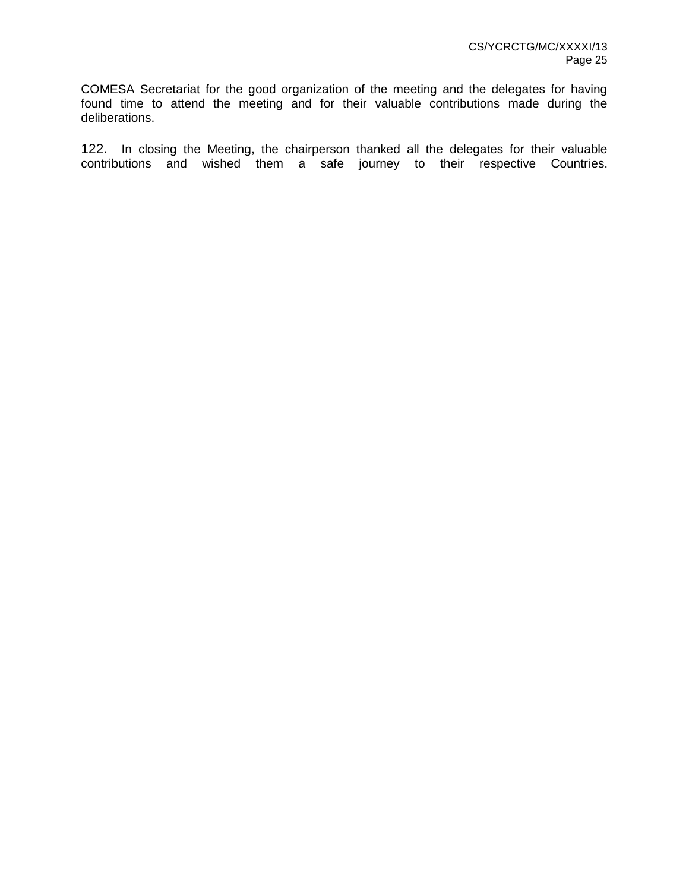COMESA Secretariat for the good organization of the meeting and the delegates for having found time to attend the meeting and for their valuable contributions made during the deliberations.

122. In closing the Meeting, the chairperson thanked all the delegates for their valuable contributions and wished them a safe journey to their respective Countries.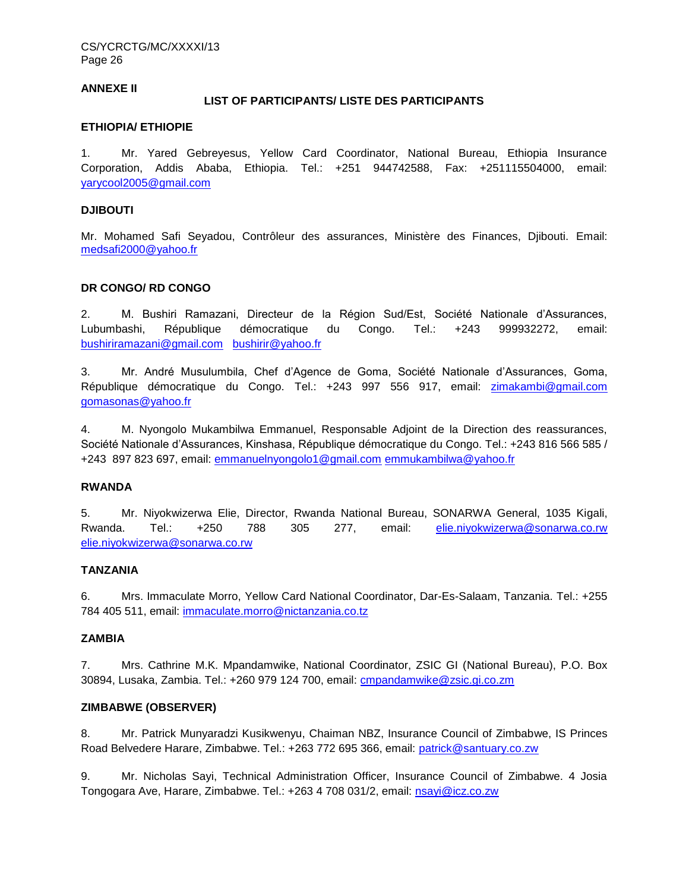CS/YCRCTG/MC/XXXXI/13 Page 26

#### **ANNEXE II**

#### **LIST OF PARTICIPANTS/ LISTE DES PARTICIPANTS**

#### **ETHIOPIA/ ETHIOPIE**

1. Mr. Yared Gebreyesus, Yellow Card Coordinator, National Bureau, Ethiopia Insurance Corporation, Addis Ababa, Ethiopia. Tel.: +251 944742588, Fax: +251115504000, email: [yarycool2005@gmail.com](mailto:yarycool2005@gmail.com)

#### **DJIBOUTI**

Mr. Mohamed Safi Seyadou, Contrôleur des assurances, Ministère des Finances, Djibouti. Email: [medsafi2000@yahoo.fr](mailto:medsafi2000@yahoo.fr)

#### **DR CONGO/ RD CONGO**

2. M. Bushiri Ramazani, Directeur de la Région Sud/Est, Société Nationale d'Assurances, Lubumbashi, République démocratique du Congo. Tel.: +243 999932272, email: [bushiriramazani@gmail.com](mailto:bushiriramazani@gmail.com) [bushirir@yahoo.fr](mailto:bushirir@yahoo.fr)

3. Mr. André Musulumbila, Chef d'Agence de Goma, Société Nationale d'Assurances, Goma, République démocratique du Congo. Tel.: +243 997 556 917, email: [zimakambi@gmail.com](mailto:zimakambi@gmail.com) [gomasonas@yahoo.fr](mailto:gomasonas@yahoo.fr)

4. M. Nyongolo Mukambilwa Emmanuel, Responsable Adjoint de la Direction des reassurances, Société Nationale d'Assurances, Kinshasa, République démocratique du Congo. Tel.: +243 816 566 585 / +243 897 823 697, email: [emmanuelnyongolo1@gmail.com](mailto:emmanuelnyongolo1@gmail.com) [emmukambilwa@yahoo.fr](mailto:emmukambilwa@yahoo.fr)

#### **RWANDA**

5. Mr. Niyokwizerwa Elie, Director, Rwanda National Bureau, SONARWA General, 1035 Kigali, Rwanda. Tel.: +250 788 305 277, email: [elie.niyokwizerwa@sonarwa.co.rw](mailto:elie.niyokwizerwa@sonarwa.co.rw)  [elie.niyokwizerwa@sonarwa.co.rw](mailto:elie.niyokwizerwa@sonarwa.co.rw)

#### **TANZANIA**

6. Mrs. Immaculate Morro, Yellow Card National Coordinator, Dar-Es-Salaam, Tanzania. Tel.: +255 784 405 511, email: [immaculate.morro@nictanzania.co.tz](mailto:immaculate.morro@nictanzania.co.tz)

#### **ZAMBIA**

7. Mrs. Cathrine M.K. Mpandamwike, National Coordinator, ZSIC GI (National Bureau), P.O. Box 30894, Lusaka, Zambia. Tel.: +260 979 124 700, email: [cmpandamwike@zsic.gi.co.zm](mailto:cmpandamwike@zsic.gi.co.zm)

#### **ZIMBABWE (OBSERVER)**

8. Mr. Patrick Munyaradzi Kusikwenyu, Chaiman NBZ, Insurance Council of Zimbabwe, IS Princes Road Belvedere Harare, Zimbabwe. Tel.: +263 772 695 366, email: [patrick@santuary.co.zw](mailto:patrick@santuary.co.zw)

9. Mr. Nicholas Sayi, Technical Administration Officer, Insurance Council of Zimbabwe. 4 Josia Tongogara Ave, Harare, Zimbabwe. Tel.: +263 4 708 031/2, email: [nsayi@icz.co.zw](mailto:nsayi@icz.co.zw)